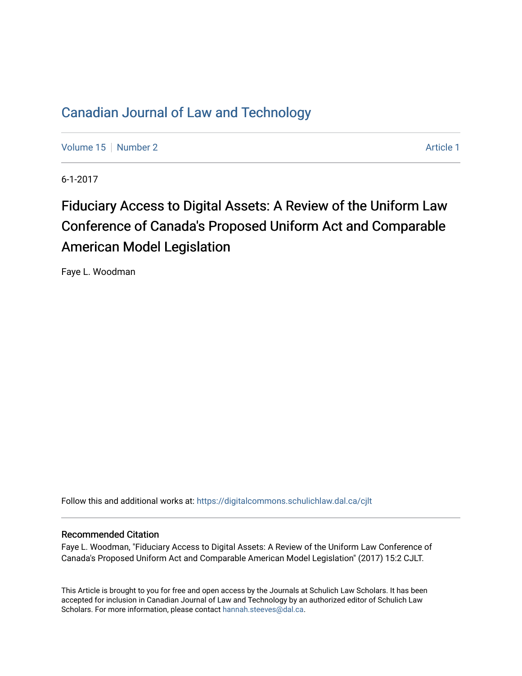# [Canadian Journal of Law and Technology](https://digitalcommons.schulichlaw.dal.ca/cjlt)

[Volume 15](https://digitalcommons.schulichlaw.dal.ca/cjlt/vol15) [Number 2](https://digitalcommons.schulichlaw.dal.ca/cjlt/vol15/iss2) Article 1

6-1-2017

# Fiduciary Access to Digital Assets: A Review of the Uniform Law Conference of Canada's Proposed Uniform Act and Comparable American Model Legislation

Faye L. Woodman

Follow this and additional works at: [https://digitalcommons.schulichlaw.dal.ca/cjlt](https://digitalcommons.schulichlaw.dal.ca/cjlt?utm_source=digitalcommons.schulichlaw.dal.ca%2Fcjlt%2Fvol15%2Fiss2%2F1&utm_medium=PDF&utm_campaign=PDFCoverPages) 

# Recommended Citation

Faye L. Woodman, "Fiduciary Access to Digital Assets: A Review of the Uniform Law Conference of Canada's Proposed Uniform Act and Comparable American Model Legislation" (2017) 15:2 CJLT.

This Article is brought to you for free and open access by the Journals at Schulich Law Scholars. It has been accepted for inclusion in Canadian Journal of Law and Technology by an authorized editor of Schulich Law Scholars. For more information, please contact [hannah.steeves@dal.ca](mailto:hannah.steeves@dal.ca).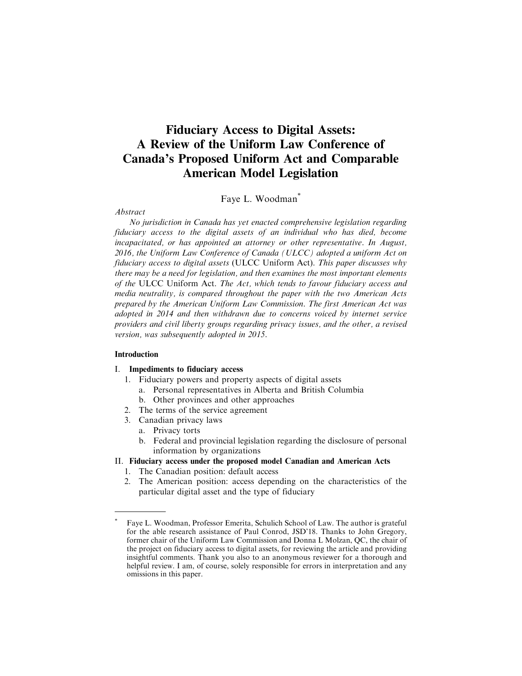# **Fiduciary Access to Digital Assets: A Review of the Uniform Law Conference of Canada's Proposed Uniform Act and Comparable American Model Legislation**

Faye L. Woodman\*

Abstract

No jurisdiction in Canada has yet enacted comprehensive legislation regarding fiduciary access to the digital assets of an individual who has died, become incapacitated, or has appointed an attorney or other representative. In August, 2016, the Uniform Law Conference of Canada (ULCC) adopted a uniform Act on fiduciary access to digital assets (ULCC Uniform Act). This paper discusses why there may be a need for legislation, and then examines the most important elements of the ULCC Uniform Act. The Act, which tends to favour fiduciary access and media neutrality, is compared throughout the paper with the two American Acts prepared by the American Uniform Law Commission. The first American Act was adopted in 2014 and then withdrawn due to concerns voiced by internet service providers and civil liberty groups regarding privacy issues, and the other, a revised version, was subsequently adopted in 2015.

#### Introduction

#### I. Impediments to fiduciary access

- 1. Fiduciary powers and property aspects of digital assets
	- a. Personal representatives in Alberta and British Columbia
	- b. Other provinces and other approaches
- 2. The terms of the service agreement
- 3. Canadian privacy laws
	- a. Privacy torts
	- b. Federal and provincial legislation regarding the disclosure of personal information by organizations

# II. Fiduciary access under the proposed model Canadian and American Acts

- 1. The Canadian position: default access
- 2. The American position: access depending on the characteristics of the particular digital asset and the type of fiduciary

<sup>\*</sup> Faye L. Woodman, Professor Emerita, Schulich School of Law. The author is grateful for the able research assistance of Paul Conrod, JSD'18. Thanks to John Gregory, former chair of the Uniform Law Commission and Donna L Molzan, QC, the chair of the project on fiduciary access to digital assets, for reviewing the article and providing insightful comments. Thank you also to an anonymous reviewer for a thorough and helpful review. I am, of course, solely responsible for errors in interpretation and any omissions in this paper.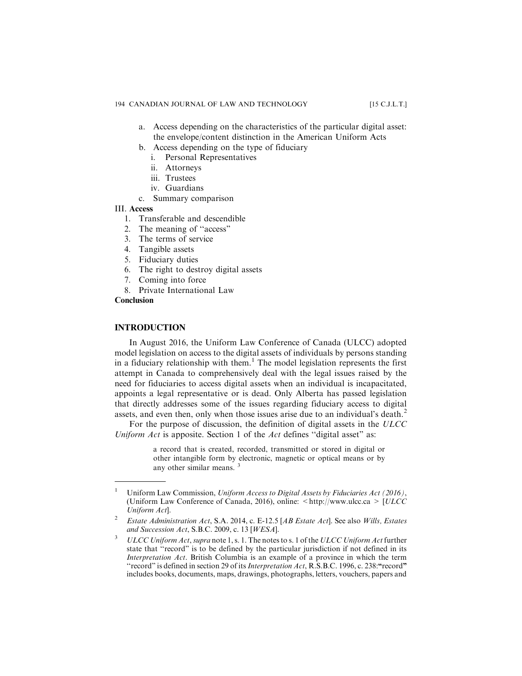- a. Access depending on the characteristics of the particular digital asset: the envelope/content distinction in the American Uniform Acts
- b. Access depending on the type of fiduciary
	- i. Personal Representatives
	- ii. Attorneys
	- iii. Trustees
	- iv. Guardians
- c. Summary comparison

# III. Access

- 1. Transferable and descendible
- 2. The meaning of ''access"
- 3. The terms of service
- 4. Tangible assets
- 5. Fiduciary duties
- 6. The right to destroy digital assets
- 7. Coming into force
- 8. Private International Law

# **Conclusion**

# **INTRODUCTION**

In August 2016, the Uniform Law Conference of Canada (ULCC) adopted model legislation on access to the digital assets of individuals by persons standing in a fiduciary relationship with them.<sup>1</sup> The model legislation represents the first attempt in Canada to comprehensively deal with the legal issues raised by the need for fiduciaries to access digital assets when an individual is incapacitated, appoints a legal representative or is dead. Only Alberta has passed legislation that directly addresses some of the issues regarding fiduciary access to digital assets, and even then, only when those issues arise due to an individual's death.<sup>2</sup>

For the purpose of discussion, the definition of digital assets in the ULCC Uniform  $Act$  is apposite. Section 1 of the  $Act$  defines "digital asset" as:

> a record that is created, recorded, transmitted or stored in digital or other intangible form by electronic, magnetic or optical means or by any other similar means. <sup>3</sup>

<sup>&</sup>lt;sup>1</sup> Uniform Law Commission, Uniform Access to Digital Assets by Fiduciaries Act (2016), (Uniform Law Conference of Canada, 2016), online:  $\langle \text{http://www.ulec.ca>} | \text{ULCC} \rangle$ Uniform Act].

<sup>2</sup> Estate Administration Act, S.A. 2014, c. E-12.5 [AB Estate Act]. See also Wills, Estates and Succession Act, S.B.C. 2009, c. 13 [WESA].

<sup>&</sup>lt;sup>3</sup>  $ULCC$  Uniform Act, supra note 1, s. 1. The notes to s. 1 of the ULCC Uniform Act further state that ''record" is to be defined by the particular jurisdiction if not defined in its Interpretation Act. British Columbia is an example of a province in which the term "record" is defined in section 29 of its *Interpretation Act*, R.S.B.C. 1996, c. 238: "record" includes books, documents, maps, drawings, photographs, letters, vouchers, papers and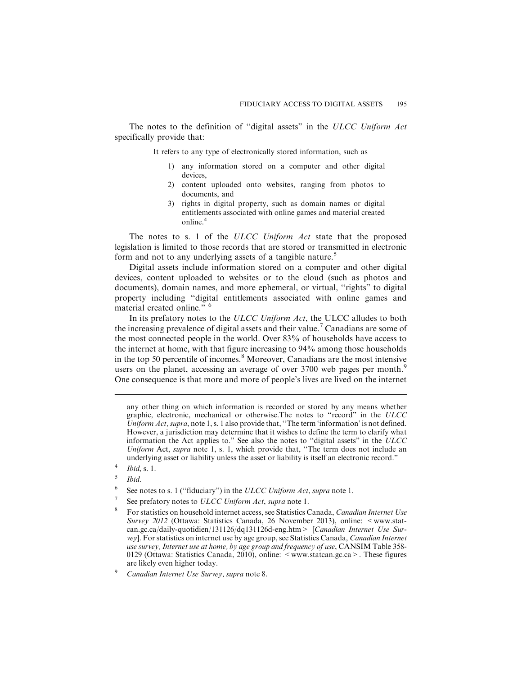The notes to the definition of "digital assets" in the ULCC Uniform Act specifically provide that:

It refers to any type of electronically stored information, such as

- 1) any information stored on a computer and other digital devices,
- 2) content uploaded onto websites, ranging from photos to documents, and
- 3) rights in digital property, such as domain names or digital entitlements associated with online games and material created online.<sup>4</sup>

The notes to s. 1 of the ULCC Uniform Act state that the proposed legislation is limited to those records that are stored or transmitted in electronic form and not to any underlying assets of a tangible nature.<sup>5</sup>

Digital assets include information stored on a computer and other digital devices, content uploaded to websites or to the cloud (such as photos and documents), domain names, and more ephemeral, or virtual, ''rights" to digital property including ''digital entitlements associated with online games and material created online." <sup>6</sup>

In its prefatory notes to the ULCC Uniform Act, the ULCC alludes to both the increasing prevalence of digital assets and their value.<sup>7</sup> Canadians are some of the most connected people in the world. Over 83% of households have access to the internet at home, with that figure increasing to 94% among those households in the top 50 percentile of incomes.<sup>8</sup> Moreover, Canadians are the most intensive users on the planet, accessing an average of over  $3700$  web pages per month.<sup>9</sup> One consequence is that more and more of people's lives are lived on the internet

- Ibid.
- <sup>6</sup> See notes to s. 1 ("fiduciary") in the ULCC Uniform Act, supra note 1.
- See prefatory notes to ULCC Uniform Act, supra note 1.
- <sup>8</sup> For statistics on household internet access, see Statistics Canada, *Canadian Internet Use* Survey 2012 (Ottawa: Statistics Canada, 26 November 2013), online: <www.statcan.gc.ca/daily-quotidien/131126/dq131126d-eng.htm> [Canadian Internet Use Survey]. For statistics on internet use by age group, see Statistics Canada, Canadian Internet use survey, Internet use at home, by age group and frequency of use, CANSIM Table 358- 0129 (Ottawa: Statistics Canada, 2010), online: <www.statcan.gc.ca>. These figures are likely even higher today.

any other thing on which information is recorded or stored by any means whether graphic, electronic, mechanical or otherwise.The notes to ''record" in the ULCC Uniform Act, supra, note 1, s. 1 also provide that, "The term 'information' is not defined. However, a jurisdiction may determine that it wishes to define the term to clarify what information the Act applies to." See also the notes to ''digital assets" in the ULCC Uniform Act, supra note 1, s. 1, which provide that, "The term does not include an underlying asset or liability unless the asset or liability is itself an electronic record."

 $\frac{4}{5}$  Ibid, s. 1.

<sup>9</sup> Canadian Internet Use Survey, supra note 8.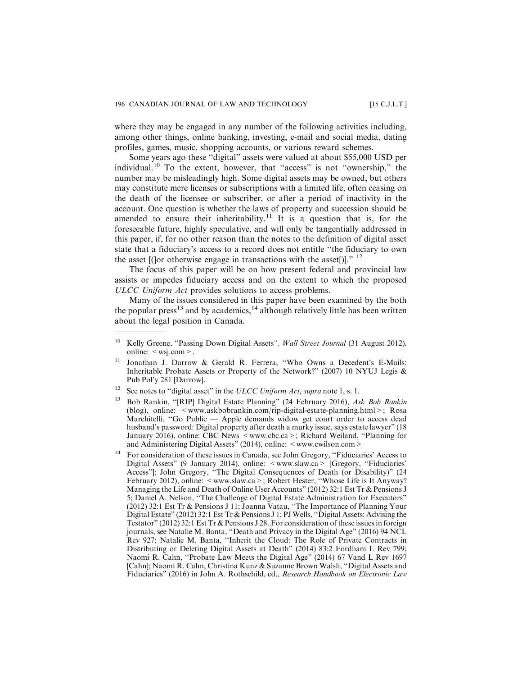where they may be engaged in any number of the following activities including, among other things, online banking, investing, e-mail and social media, dating profiles, games, music, shopping accounts, or various reward schemes.

Some years ago these ''digital" assets were valued at about \$55,000 USD per individual.<sup>10</sup> To the extent, however, that "access" is not "ownership," the number may be misleadingly high. Some digital assets may be owned, but others may constitute mere licenses or subscriptions with a limited life, often ceasing on the death of the licensee or subscriber, or after a period of inactivity in the account. One question is whether the laws of property and succession should be amended to ensure their inheritability.<sup>11</sup> It is a question that is, for the foreseeable future, highly speculative, and will only be tangentially addressed in this paper, if, for no other reason than the notes to the definition of digital asset state that a fiduciary's access to a record does not entitle ''the fiduciary to own the asset  $[$ ( $]$ or otherwise engage in transactions with the asset $[$ )]." <sup>12</sup>

The focus of this paper will be on how present federal and provincial law assists or impedes fiduciary access and on the extent to which the proposed ULCC Uniform Act provides solutions to access problems.

Many of the issues considered in this paper have been examined by the both the popular press<sup>13</sup> and by academics,<sup>14</sup> although relatively little has been written about the legal position in Canada.

<sup>&</sup>lt;sup>10</sup> Kelly Greene, "Passing Down Digital Assets", Wall Street Journal (31 August 2012), online:  $\langle$  wsj.com >.

<sup>&</sup>lt;sup>11</sup> Jonathan J. Darrow & Gerald R. Ferrera, "Who Owns a Decedent's E-Mails: Inheritable Probate Assets or Property of the Network?" (2007) 10 NYUJ Legis & Pub Pol'y 281 [Darrow].

<sup>&</sup>lt;sup>12</sup> See notes to "digital asset" in the ULCC Uniform Act, supra note 1, s. 1.

<sup>13</sup> Bob Rankin, ''[RIP] Digital Estate Planning" (24 February 2016), Ask Bob Rankin (blog), online: <www.askbobrankin.com/rip-digital-estate-planning.html>; Rosa Marchitelli, "Go Public — Apple demands widow get court order to access dead husband's password: Digital property after death a murky issue, says estate lawyer" (18 January 2016), online: CBC News <www.cbc.ca>; Richard Weiland, "Planning for and Administering Digital Assets" (2014), online: <www.cwilson.com>

<sup>&</sup>lt;sup>14</sup> For consideration of these issues in Canada, see John Gregory, "Fiduciaries' Access to Digital Assets" (9 January 2014), online: <www.slaw.ca> [Gregory, "Fiduciaries" Access"]; John Gregory, "The Digital Consequences of Death (or Disability)" (24 February 2012), online: <www.slaw.ca>; Robert Hester, "Whose Life is It Anyway? Managing the Life and Death of Online User Accounts" (2012) 32:1 Est Tr & Pensions J 5; Daniel A. Nelson, ''The Challenge of Digital Estate Administration for Executors" (2012) 32:1 Est Tr & Pensions J 11; Joanna Vatau, ''The Importance of Planning Your Digital Estate" (2012) 32:1 Est Tr & Pensions J 1; PJ Wells, ''Digital Assets: Advising the Testator" (2012) 32:1 Est Tr  $\&$  Pensions J 28. For consideration of these issues in foreign journals, see Natalie M. Banta, ''Death and Privacy in the Digital Age" (2016) 94 NCL Rev 927; Natalie M. Banta, ''Inherit the Cloud: The Role of Private Contracts in Distributing or Deleting Digital Assets at Death" (2014) 83:2 Fordham L Rev 799; Naomi R. Cahn, ''Probate Law Meets the Digital Age" (2014) 67 Vand L Rev 1697 [Cahn]; Naomi R. Cahn, Christina Kunz & Suzanne Brown Walsh, ''Digital Assets and Fiduciaries" (2016) in John A. Rothschild, ed., Research Handbook on Electronic Law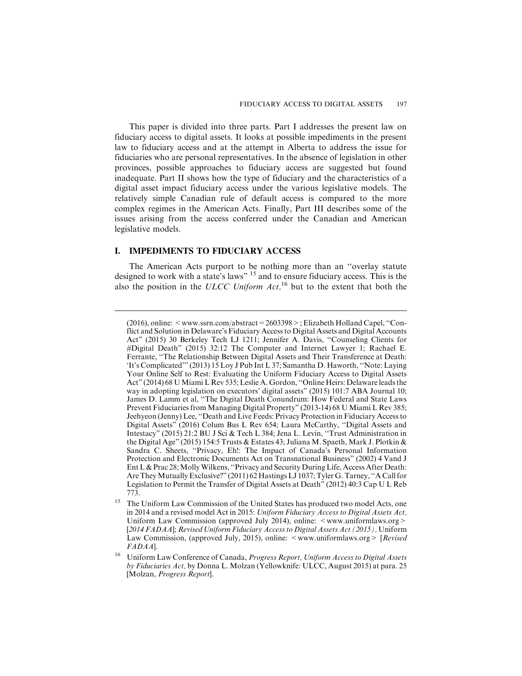This paper is divided into three parts. Part I addresses the present law on fiduciary access to digital assets. It looks at possible impediments in the present law to fiduciary access and at the attempt in Alberta to address the issue for fiduciaries who are personal representatives. In the absence of legislation in other provinces, possible approaches to fiduciary access are suggested but found inadequate. Part II shows how the type of fiduciary and the characteristics of a digital asset impact fiduciary access under the various legislative models. The relatively simple Canadian rule of default access is compared to the more complex regimes in the American Acts. Finally, Part III describes some of the issues arising from the access conferred under the Canadian and American legislative models.

# **I. IMPEDIMENTS TO FIDUCIARY ACCESS**

The American Acts purport to be nothing more than an ''overlay statute designed to work with a state's laws" <sup>15</sup> and to ensure fiduciary access. This is the also the position in the ULCC Uniform  $Act$ , <sup>16</sup> but to the extent that both the

<sup>(2016),</sup> online:  $\leq$  www.ssrn.com/abstract = 2603398 > ; Elizabeth Holland Capel, "Conflict and Solution in Delaware's Fiduciary Access to Digital Assets and Digital Accounts Act" (2015) 30 Berkeley Tech LJ 1211; Jennifer A. Davis, ''Counseling Clients for #Digital Death" (2015) 32:12 The Computer and Internet Lawyer 1; Rachael E. Ferrante, ''The Relationship Between Digital Assets and Their Transference at Death: 'It's Complicated'" (2013) 15 Loy J Pub Int L 37; Samantha D. Haworth, ''Note: Laying Your Online Self to Rest: Evaluating the Uniform Fiduciary Access to Digital Assets Act" (2014) 68 UMiami L Rev 535; Leslie A. Gordon, ''Online Heirs: Delaware leads the way in adopting legislation on executors' digital assets" (2015) 101:7 ABA Journal 10; James D. Lamm et al, ''The Digital Death Conundrum: How Federal and State Laws Prevent Fiduciaries from Managing Digital Property" (2013-14) 68 U Miami L Rev 385; Jeehyeon (Jenny) Lee, ''Death and Live Feeds: Privacy Protection in Fiduciary Access to Digital Assets" (2016) Colum Bus L Rev 654; Laura McCarthy, ''Digital Assets and Intestacy" (2015) 21:2 BU J Sci & Tech L 384; Jena L. Levin, ''Trust Administration in the Digital Age" (2015) 154:5 Trusts & Estates 43; Juliana M. Spaeth, Mark J. Plotkin & Sandra C. Sheets, ''Privacy, Eh!: The Impact of Canada's Personal Information Protection and Electronic Documents Act on Transnational Business" (2002) 4 Vand J Ent L & Prac 28; Molly Wilkens, "Privacy and Security During Life, Access After Death: Are They Mutually Exclusive?" (2011) 62 Hastings LJ 1037; Tyler G. Tarney, "A Call for Legislation to Permit the Transfer of Digital Assets at Death" (2012) 40:3 Cap U L Reb 773.

<sup>&</sup>lt;sup>15</sup> The Uniform Law Commission of the United States has produced two model Acts, one in 2014 and a revised model Act in 2015: Uniform Fiduciary Access to Digital Assets Act, Uniform Law Commission (approved July 2014), online: <www.uniformlaws.org> [2014 FADAA]; Revised Uniform Fiduciary Access to Digital Assets Act (2015), Uniform Law Commission, (approved July, 2015), online: <www.uniformlaws.org> [Revised] FADAA].

<sup>&</sup>lt;sup>16</sup> Uniform Law Conference of Canada, Progress Report, Uniform Access to Digital Assets by Fiduciaries Act, by Donna L. Molzan (Yellowknife: ULCC, August 2015) at para. 25 [Molzan, Progress Report].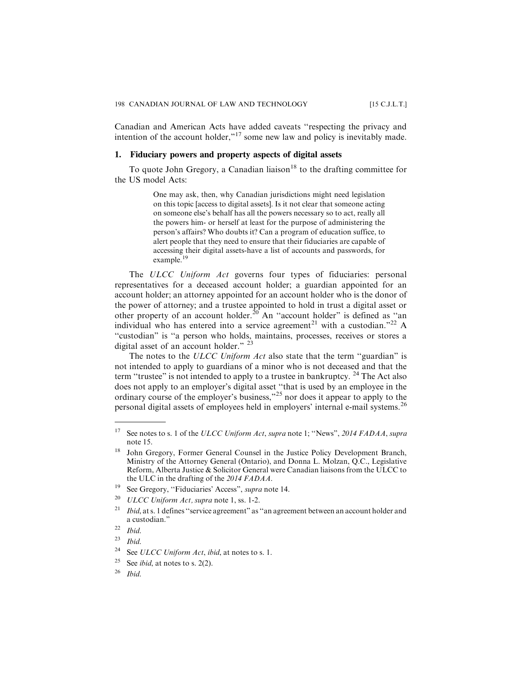Canadian and American Acts have added caveats ''respecting the privacy and intention of the account holder,"<sup>17</sup> some new law and policy is inevitably made.

# **1. Fiduciary powers and property aspects of digital assets**

To quote John Gregory, a Canadian liaison<sup>18</sup> to the drafting committee for the US model Acts:

> One may ask, then, why Canadian jurisdictions might need legislation on this topic [access to digital assets]. Is it not clear that someone acting on someone else's behalf has all the powers necessary so to act, really all the powers him- or herself at least for the purpose of administering the person's affairs? Who doubts it? Can a program of education suffice, to alert people that they need to ensure that their fiduciaries are capable of accessing their digital assets-have a list of accounts and passwords, for example.<sup>19</sup>

The ULCC Uniform Act governs four types of fiduciaries: personal representatives for a deceased account holder; a guardian appointed for an account holder; an attorney appointed for an account holder who is the donor of the power of attorney; and a trustee appointed to hold in trust a digital asset or other property of an account holder.<sup>20</sup> An "account holder" is defined as "an individual who has entered into a service agreement<sup>21</sup> with a custodian."<sup>22</sup> A ''custodian" is ''a person who holds, maintains, processes, receives or stores a digital asset of an account holder." <sup>23</sup>

The notes to the ULCC Uniform Act also state that the term "guardian" is not intended to apply to guardians of a minor who is not deceased and that the term "trustee" is not intended to apply to a trustee in bankruptcy. <sup>24</sup> The Act also does not apply to an employer's digital asset ''that is used by an employee in the ordinary course of the employer's business,"<sup>25</sup> nor does it appear to apply to the personal digital assets of employees held in employers' internal e-mail systems.<sup>26</sup>

<sup>&</sup>lt;sup>17</sup> See notes to s. 1 of the ULCC Uniform Act, supra note 1; "News", 2014 FADAA, supra note 15.

<sup>&</sup>lt;sup>18</sup> John Gregory, Former General Counsel in the Justice Policy Development Branch, Ministry of the Attorney General (Ontario), and Donna L. Molzan, Q.C., Legislative Reform, Alberta Justice & Solicitor General were Canadian liaisons from the ULCC to the ULC in the drafting of the 2014 FADAA.

<sup>19</sup> See Gregory, ''Fiduciaries' Access", supra note 14.

 $20$  ULCC Uniform Act, supra note 1, ss. 1-2.

Ibid, at s. 1 defines "service agreement" as "an agreement between an account holder and a custodian."

 $22$  Ibid.

 $23$  Ibid.

<sup>&</sup>lt;sup>24</sup> See ULCC Uniform Act, ibid, at notes to s. 1.

<sup>&</sup>lt;sup>25</sup> See *ibid*, at notes to s. 2(2).

 $26$  Ibid.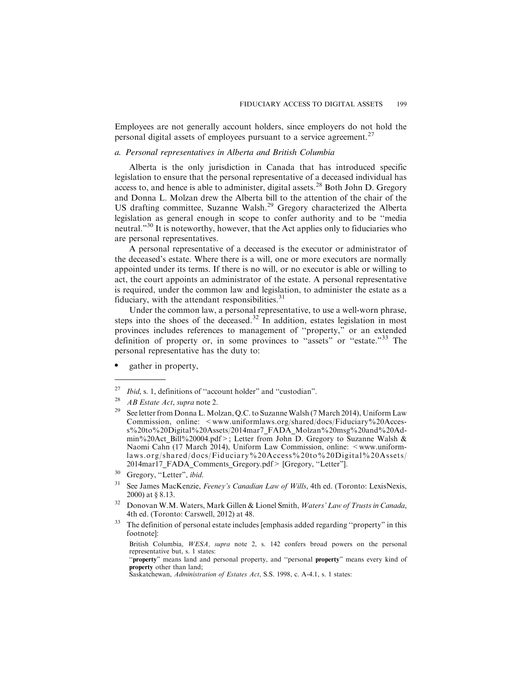Employees are not generally account holders, since employers do not hold the personal digital assets of employees pursuant to a service agreement.<sup>27</sup>

# *a. Personal representatives in Alberta and British Columbia*

Alberta is the only jurisdiction in Canada that has introduced specific legislation to ensure that the personal representative of a deceased individual has access to, and hence is able to administer, digital assets.<sup>28</sup> Both John D. Gregory and Donna L. Molzan drew the Alberta bill to the attention of the chair of the US drafting committee, Suzanne Walsh.<sup>29</sup> Gregory characterized the Alberta legislation as general enough in scope to confer authority and to be ''media neutral."<sup>30</sup> It is noteworthy, however, that the Act applies only to fiduciaries who are personal representatives.

A personal representative of a deceased is the executor or administrator of the deceased's estate. Where there is a will, one or more executors are normally appointed under its terms. If there is no will, or no executor is able or willing to act, the court appoints an administrator of the estate. A personal representative is required, under the common law and legislation, to administer the estate as a fiduciary, with the attendant responsibilities. $31$ 

Under the common law, a personal representative, to use a well-worn phrase, steps into the shoes of the deceased.<sup>32</sup> In addition, estates legislation in most provinces includes references to management of ''property," or an extended definition of property or, in some provinces to ''assets" or ''estate."<sup>33</sup> The personal representative has the duty to:

. gather in property,

<sup>33</sup> The definition of personal estate includes [emphasis added regarding "property" in this footnote]:

British Columbia, WESA, supra note 2, s. 142 confers broad powers on the personal representative but, s. 1 states:

<sup>&</sup>lt;sup>27</sup> *Ibid, s.* 1, definitions of "account holder" and "custodian".

<sup>&</sup>lt;sup>28</sup> *AB Estate Act, supra* note 2.

<sup>&</sup>lt;sup>29</sup> See letter from Donna L. Molzan, Q.C. to Suzanne Walsh (7 March 2014), Uniform Law Commission, online: <www.uniformlaws.org/shared/docs/Fiduciary%20Access%20to%20Digital%20Assets/2014mar7\_FADA\_Molzan%20msg%20and%20Admin%20Act\_Bill%20004.pdf>; Letter from John D. Gregory to Suzanne Walsh & Naomi Cahn (17 March 2014), Uniform Law Commission, online: <www.uniformlaws.org/shared/docs/Fiduciary%20Access%20to%20Digital%20Assets/ 2014mar17\_FADA\_Comments\_Gregory.pdf> [Gregory, ''Letter"].

<sup>&</sup>lt;sup>30</sup> Gregory, "Letter", ibid.

<sup>&</sup>lt;sup>31</sup> See James MacKenzie, *Feeney's Canadian Law of Wills*, 4th ed. (Toronto: LexisNexis, 2000) at § 8.13.

<sup>&</sup>lt;sup>32</sup> Donovan W.M. Waters, Mark Gillen & Lionel Smith, Waters' Law of Trusts in Canada, 4th ed. (Toronto: Carswell, 2012) at 48.

<sup>&#</sup>x27;'property" means land and personal property, and ''personal property" means every kind of property other than land;

Saskatchewan, Administration of Estates Act, S.S. 1998, c. A-4.1, s. 1 states: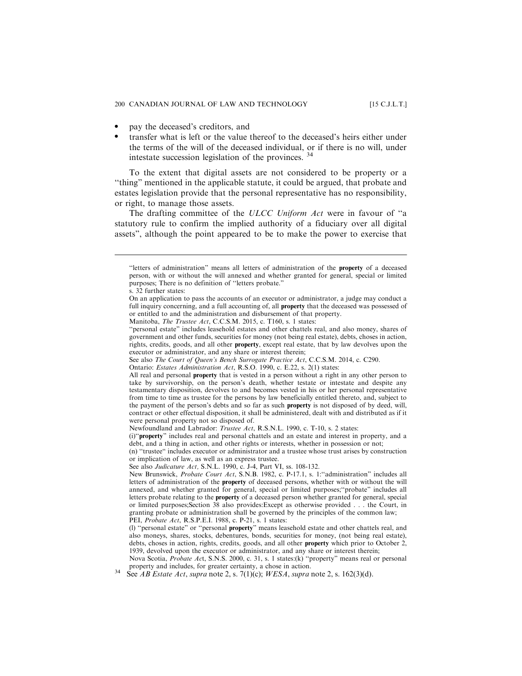- . pay the deceased's creditors, and
- . transfer what is left or the value thereof to the deceased's heirs either under the terms of the will of the deceased individual, or if there is no will, under intestate succession legislation of the provinces. <sup>34</sup>

To the extent that digital assets are not considered to be property or a ''thing" mentioned in the applicable statute, it could be argued, that probate and estates legislation provide that the personal representative has no responsibility, or right, to manage those assets.

The drafting committee of the ULCC Uniform Act were in favour of "a statutory rule to confirm the implied authority of a fiduciary over all digital assets", although the point appeared to be to make the power to exercise that

<sup>&#</sup>x27;'letters of administration" means all letters of administration of the property of a deceased person, with or without the will annexed and whether granted for general, special or limited purposes; There is no definition of ''letters probate."

s. 32 further states:

On an application to pass the accounts of an executor or administrator, a judge may conduct a full inquiry concerning, and a full accounting of, all **property** that the deceased was possessed of or entitled to and the administration and disbursement of that property.

Manitoba, The Trustee Act, C.C.S.M. 2015, c. T160, s. 1 states:

<sup>&#</sup>x27;'personal estate" includes leasehold estates and other chattels real, and also money, shares of government and other funds, securities for money (not being real estate), debts, choses in action, rights, credits, goods, and all other property, except real estate, that by law devolves upon the executor or administrator, and any share or interest therein;

See also The Court of Queen's Bench Surrogate Practice Act, C.C.S.M. 2014, c. C290.

Ontario: Estates Administration Act, R.S.O. 1990, c. E.22, s. 2(1) states:

All real and personal **property** that is vested in a person without a right in any other person to take by survivorship, on the person's death, whether testate or intestate and despite any testamentary disposition, devolves to and becomes vested in his or her personal representative from time to time as trustee for the persons by law beneficially entitled thereto, and, subject to the payment of the person's debts and so far as such property is not disposed of by deed, will, contract or other effectual disposition, it shall be administered, dealt with and distributed as if it were personal property not so disposed of.

Newfoundland and Labrador: Trustee Act, R.S.N.L. 1990, c. T-10, s. 2 states:

<sup>(</sup>i)''property" includes real and personal chattels and an estate and interest in property, and a debt, and a thing in action, and other rights or interests, whether in possession or not;

<sup>(</sup>n) ''trustee" includes executor or administrator and a trustee whose trust arises by construction or implication of law, as well as an express trustee.

See also Judicature Act, S.N.L. 1990, c. J-4, Part VI, ss. 108-132.

New Brunswick, Probate Court Act, S.N.B. 1982, c. P-17.1, s. 1:"administration" includes all letters of administration of the property of deceased persons, whether with or without the will annexed, and whether granted for general, special or limited purposes;''probate" includes all letters probate relating to the property of a deceased person whether granted for general, special or limited purposes;Section 38 also provides:Except as otherwise provided . . . the Court, in granting probate or administration shall be governed by the principles of the common law; PEI, Probate Act, R.S.P.E.I. 1988, c. P-21, s. 1 states:

<sup>(</sup>l) ''personal estate" or ''personal property" means leasehold estate and other chattels real, and also moneys, shares, stocks, debentures, bonds, securities for money, (not being real estate), debts, choses in action, rights, credits, goods, and all other property which prior to October 2, 1939, devolved upon the executor or administrator, and any share or interest therein;

Nova Scotia, Probate Act, S.N.S. 2000, c. 31, s. 1 states:(k) ''property" means real or personal property and includes, for greater certainty, a chose in action.<br>  $34$  See *AB Estate Act, supra* note 2, s. 7(1)(c); *WESA, supra* note 2, s. 162(3)(d).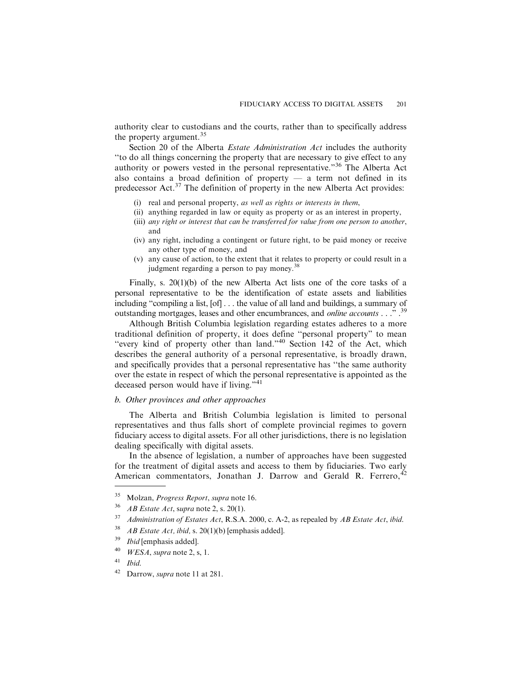authority clear to custodians and the courts, rather than to specifically address the property argument.<sup>35</sup>

Section 20 of the Alberta *Estate Administration Act* includes the authority ''to do all things concerning the property that are necessary to give effect to any authority or powers vested in the personal representative."<sup>36</sup> The Alberta Act also contains a broad definition of property — a term not defined in its predecessor  $Act.^{37}$  The definition of property in the new Alberta Act provides:

- (i) real and personal property, as well as rights or interests in them,
- (ii) anything regarded in law or equity as property or as an interest in property,
- (iii) any right or interest that can be transferred for value from one person to another, and
- (iv) any right, including a contingent or future right, to be paid money or receive any other type of money, and
- (v) any cause of action, to the extent that it relates to property or could result in a judgment regarding a person to pay money.<sup>38</sup>

Finally, s. 20(1)(b) of the new Alberta Act lists one of the core tasks of a personal representative to be the identification of estate assets and liabilities including "compiling a list, [of] . . . the value of all land and buildings, a summary of outstanding mortgages, leases and other encumbrances, and *online accounts* . . . .<sup>39</sup>

Although British Columbia legislation regarding estates adheres to a more traditional definition of property, it does define ''personal property" to mean "every kind of property other than land."<sup>40</sup> Section 142 of the Act, which describes the general authority of a personal representative, is broadly drawn, and specifically provides that a personal representative has ''the same authority over the estate in respect of which the personal representative is appointed as the deceased person would have if living."<sup>41</sup>

# *b. Other provinces and other approaches*

The Alberta and British Columbia legislation is limited to personal representatives and thus falls short of complete provincial regimes to govern fiduciary access to digital assets. For all other jurisdictions, there is no legislation dealing specifically with digital assets.

In the absence of legislation, a number of approaches have been suggested for the treatment of digital assets and access to them by fiduciaries. Two early American commentators, Jonathan J. Darrow and Gerald R. Ferrero,  $42$ 

<sup>&</sup>lt;sup>35</sup> Molzan, *Progress Report*, supra note 16.

<sup>&</sup>lt;sup>36</sup> *AB Estate Act, supra* note 2, s. 20(1).

 $37$  Administration of Estates Act, R.S.A. 2000, c. A-2, as repealed by AB Estate Act, ibid.

 $38$  AB Estate Act, ibid, s. 20(1)(b) [emphasis added].

<sup>&</sup>lt;sup>39</sup> *Ibid* [emphasis added].

 $^{40}$  *WESA*, *supra* note 2, s, 1.

 $41$  Ibid.

<sup>42</sup> Darrow, supra note 11 at 281.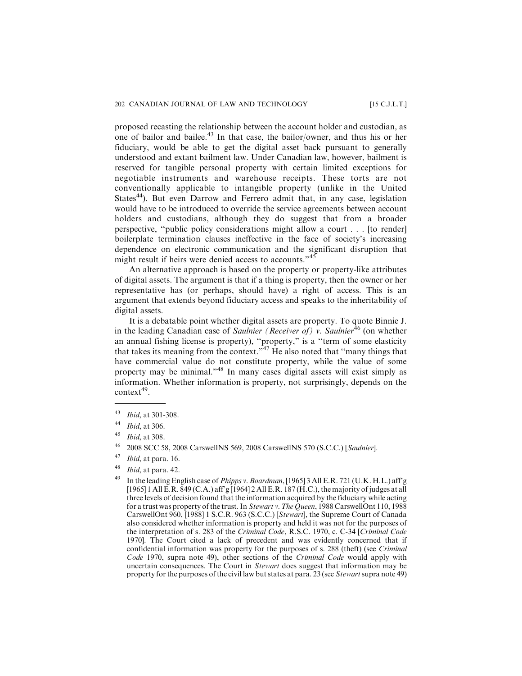proposed recasting the relationship between the account holder and custodian, as one of bailor and bailee.<sup>43</sup> In that case, the bailor/owner, and thus his or her fiduciary, would be able to get the digital asset back pursuant to generally understood and extant bailment law. Under Canadian law, however, bailment is reserved for tangible personal property with certain limited exceptions for negotiable instruments and warehouse receipts. These torts are not conventionally applicable to intangible property (unlike in the United States<sup>44</sup>). But even Darrow and Ferrero admit that, in any case, legislation would have to be introduced to override the service agreements between account holders and custodians, although they do suggest that from a broader perspective, ''public policy considerations might allow a court . . . [to render] boilerplate termination clauses ineffective in the face of society's increasing dependence on electronic communication and the significant disruption that might result if heirs were denied access to accounts."<sup>45</sup>

An alternative approach is based on the property or property-like attributes of digital assets. The argument is that if a thing is property, then the owner or her representative has (or perhaps, should have) a right of access. This is an argument that extends beyond fiduciary access and speaks to the inheritability of digital assets.

It is a debatable point whether digital assets are property. To quote Binnie J. in the leading Canadian case of Saulnier (Receiver of) v. Saulnier<sup>46</sup> (on whether an annual fishing license is property), ''property," is a ''term of some elasticity that takes its meaning from the context." $47$  He also noted that "many things that" have commercial value do not constitute property, while the value of some property may be minimal."<sup>48</sup> In many cases digital assets will exist simply as information. Whether information is property, not surprisingly, depends on the  $context<sup>49</sup>$ .

- <sup>48</sup> Ibid, at para. 42.
- <sup>49</sup> In the leading English case of *Phipps v. Boardman*, [1965] 3 All E.R. 721 (U.K. H.L.) aff'g [1965] 1 All E.R. 849 (C.A.) aff'g [1964] 2 All E.R. 187 (H.C.), the majority of judges at all three levels of decision found that the information acquired by the fiduciary while acting for a trust was property of the trust. In Stewart v. The Queen, 1988 CarswellOnt 110, 1988 CarswellOnt 960, [1988] 1 S.C.R. 963 (S.C.C.) [Stewart], the Supreme Court of Canada also considered whether information is property and held it was not for the purposes of the interpretation of s. 283 of the Criminal Code, R.S.C. 1970, c. C-34 [Criminal Code 1970]. The Court cited a lack of precedent and was evidently concerned that if confidential information was property for the purposes of s. 288 (theft) (see Criminal Code 1970, supra note 49), other sections of the Criminal Code would apply with uncertain consequences. The Court in Stewart does suggest that information may be property for the purposes of the civil law but states at para. 23 (see Stewartsupra note 49)

<sup>43</sup> Ibid, at 301-308.

<sup>44</sup> Ibid, at 306.

<sup>45</sup> Ibid, at 308.

<sup>46</sup> 2008 SCC 58, 2008 CarswellNS 569, 2008 CarswellNS 570 (S.C.C.) [Saulnier].

 $47$  *Ibid*, at para. 16.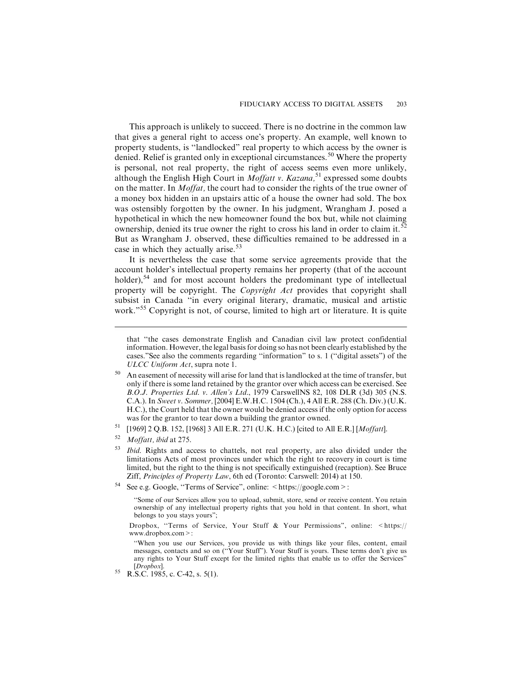This approach is unlikely to succeed. There is no doctrine in the common law that gives a general right to access one's property. An example, well known to property students, is ''landlocked" real property to which access by the owner is denied. Relief is granted only in exceptional circumstances.<sup>50</sup> Where the property is personal, not real property, the right of access seems even more unlikely, although the English High Court in *Moffatt v. Kazana*,<sup>51</sup> expressed some doubts on the matter. In Moffat, the court had to consider the rights of the true owner of a money box hidden in an upstairs attic of a house the owner had sold. The box was ostensibly forgotten by the owner. In his judgment, Wrangham J. posed a hypothetical in which the new homeowner found the box but, while not claiming ownership, denied its true owner the right to cross his land in order to claim it.<sup>52</sup> But as Wrangham J. observed, these difficulties remained to be addressed in a case in which they actually arise.<sup>53</sup>

It is nevertheless the case that some service agreements provide that the account holder's intellectual property remains her property (that of the account holder),<sup>54</sup> and for most account holders the predominant type of intellectual property will be copyright. The Copyright Act provides that copyright shall subsist in Canada ''in every original literary, dramatic, musical and artistic work."<sup>55</sup> Copyright is not, of course, limited to high art or literature. It is quite

that ''the cases demonstrate English and Canadian civil law protect confidential information. However, the legal basis for doing so has not been clearly established by the cases."See also the comments regarding ''information" to s. 1 (''digital assets") of the ULCC Uniform Act, supra note 1.

<sup>&</sup>lt;sup>50</sup> An easement of necessity will arise for land that is landlocked at the time of transfer, but only if there is some land retained by the grantor over which access can be exercised. See B.O.J. Properties Ltd. v. Allen's Ltd., 1979 CarswellNS 82, 108 DLR (3d) 305 (N.S. C.A.). In Sweet v. Sommer, [2004] E.W.H.C. 1504 (Ch.), 4 All E.R. 288 (Ch. Div.) (U.K. H.C.), the Court held that the owner would be denied access if the only option for access was for the grantor to tear down a building the grantor owned.

<sup>&</sup>lt;sup>51</sup> [1969] 2 Q.B. 152, [1968] 3 All E.R. 271 (U.K. H.C.) [cited to All E.R.] [*Moffatt*].

Moffatt, ibid at 275.

<sup>&</sup>lt;sup>53</sup> Ibid. Rights and access to chattels, not real property, are also divided under the limitations Acts of most provinces under which the right to recovery in court is time limited, but the right to the thing is not specifically extinguished (recaption). See Bruce Ziff, Principles of Property Law, 6th ed (Toronto: Carswell: 2014) at 150.

<sup>&</sup>lt;sup>54</sup> See e.g. Google, "Terms of Service", online: <https://google.com>:

<sup>&#</sup>x27;'Some of our Services allow you to upload, submit, store, send or receive content. You retain ownership of any intellectual property rights that you hold in that content. In short, what belongs to you stays yours";

Dropbox, ''Terms of Service, Your Stuff & Your Permissions", online: <https:// www.dropbox.com>:

<sup>&#</sup>x27;'When you use our Services, you provide us with things like your files, content, email messages, contacts and so on (''Your Stuff"). Your Stuff is yours. These terms don't give us any rights to Your Stuff except for the limited rights that enable us to offer the Services"

<sup>[</sup>Dropbox]. <sup>55</sup> R.S.C. 1985, c. C-42, s. 5(1).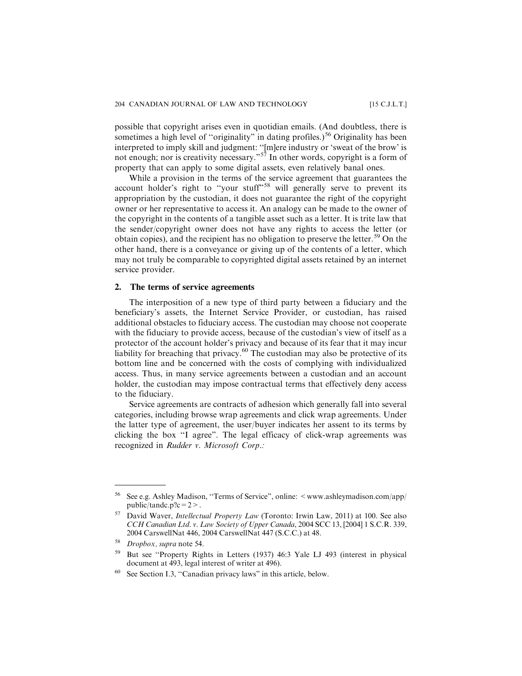possible that copyright arises even in quotidian emails. (And doubtless, there is sometimes a high level of "originality" in dating profiles.)<sup>56</sup> Originality has been interpreted to imply skill and judgment: ''[m]ere industry or 'sweat of the brow' is not enough; nor is creativity necessary."<sup>57</sup> In other words, copyright is a form of property that can apply to some digital assets, even relatively banal ones.

While a provision in the terms of the service agreement that guarantees the account holder's right to "your stuff"<sup>58</sup> will generally serve to prevent its appropriation by the custodian, it does not guarantee the right of the copyright owner or her representative to access it. An analogy can be made to the owner of the copyright in the contents of a tangible asset such as a letter. It is trite law that the sender/copyright owner does not have any rights to access the letter (or obtain copies), and the recipient has no obligation to preserve the letter.<sup>59</sup> On the other hand, there is a conveyance or giving up of the contents of a letter, which may not truly be comparable to copyrighted digital assets retained by an internet service provider.

#### **2. The terms of service agreements**

The interposition of a new type of third party between a fiduciary and the beneficiary's assets, the Internet Service Provider, or custodian, has raised additional obstacles to fiduciary access. The custodian may choose not cooperate with the fiduciary to provide access, because of the custodian's view of itself as a protector of the account holder's privacy and because of its fear that it may incur liability for breaching that privacy.<sup>60</sup> The custodian may also be protective of its bottom line and be concerned with the costs of complying with individualized access. Thus, in many service agreements between a custodian and an account holder, the custodian may impose contractual terms that effectively deny access to the fiduciary.

Service agreements are contracts of adhesion which generally fall into several categories, including browse wrap agreements and click wrap agreements. Under the latter type of agreement, the user/buyer indicates her assent to its terms by clicking the box ''I agree". The legal efficacy of click-wrap agreements was recognized in Rudder v. Microsoft Corp.:

<sup>56</sup> See e.g. Ashley Madison, ''Terms of Service", online: <www.ashleymadison.com/app/ public/tandc.p?c =  $2$  >.

 $57$  David Waver, *Intellectual Property Law* (Toronto: Irwin Law, 2011) at 100. See also CCH Canadian Ltd. v. Law Society of Upper Canada, 2004 SCC 13, [2004] 1 S.C.R. 339, 2004 CarswellNat 446, 2004 CarswellNat 447 (S.C.C.) at 48.

<sup>58</sup> Dropbox, supra note 54.

<sup>59</sup> But see ''Property Rights in Letters (1937) 46:3 Yale LJ 493 (interest in physical document at 493, legal interest of writer at 496).

<sup>60</sup> See Section I.3, ''Canadian privacy laws" in this article, below.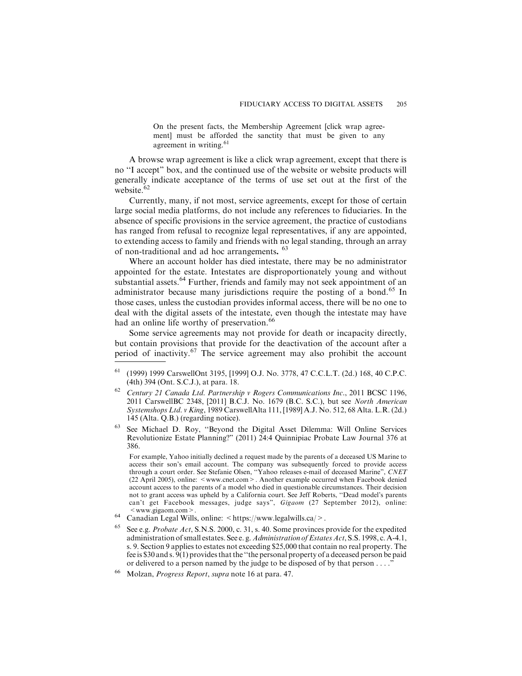On the present facts, the Membership Agreement [click wrap agreement] must be afforded the sanctity that must be given to any agreement in writing.<sup>61</sup>

A browse wrap agreement is like a click wrap agreement, except that there is no ''I accept" box, and the continued use of the website or website products will generally indicate acceptance of the terms of use set out at the first of the website. $62$ 

Currently, many, if not most, service agreements, except for those of certain large social media platforms, do not include any references to fiduciaries. In the absence of specific provisions in the service agreement, the practice of custodians has ranged from refusal to recognize legal representatives, if any are appointed, to extending access to family and friends with no legal standing, through an array of non-traditional and ad hoc arrangements. <sup>63</sup>

Where an account holder has died intestate, there may be no administrator appointed for the estate. Intestates are disproportionately young and without substantial assets.<sup>64</sup> Further, friends and family may not seek appointment of an administrator because many jurisdictions require the posting of a bond.<sup>65</sup> In those cases, unless the custodian provides informal access, there will be no one to deal with the digital assets of the intestate, even though the intestate may have had an online life worthy of preservation.<sup>66</sup>

Some service agreements may not provide for death or incapacity directly, but contain provisions that provide for the deactivation of the account after a period of inactivity.<sup>67</sup> The service agreement may also prohibit the account

<sup>63</sup> See Michael D. Roy, ''Beyond the Digital Asset Dilemma: Will Online Services Revolutionize Estate Planning?" (2011) 24:4 Quinnipiac Probate Law Journal 376 at 386.

For example, Yahoo initially declined a request made by the parents of a deceased US Marine to access their son's email account. The company was subsequently forced to provide access through a court order. See Stefanie Olsen, ''Yahoo releases e-mail of deceased Marine", CNET (22 April 2005), online: < www.cnet.com > . Another example occurred when Facebook denied account access to the parents of a model who died in questionable circumstances. Their decision not to grant access was upheld by a California court. See Jeff Roberts, ''Dead model's parents can't get Facebook messages, judge says", Gigaom (27 September 2012), online:  $\leq$  www.gigaom.com >.<br>Canadian Legal Wills, online:  $\leq$  https://www.legalwills.ca/>.

- 
- See e.g. *Probate Act*, S.N.S. 2000, c. 31, s. 40. Some provinces provide for the expedited administration of small estates. See e.g. Administration of Estates Act, S.S. 1998, c. A-4.1, s. 9. Section 9 applies to estates not exceeding \$25,000 that contain no real property. The fee is \$30 and s. 9(1) provides that the ''the personal property of a deceased person be paid or delivered to a person named by the judge to be disposed of by that person . . . ."
- Molzan, *Progress Report, supra* note 16 at para. 47.

<sup>61</sup> (1999) 1999 CarswellOnt 3195, [1999] O.J. No. 3778, 47 C.C.L.T. (2d.) 168, 40 C.P.C. (4th) 394 (Ont. S.C.J.), at para. 18.

 $62$  Century 21 Canada Ltd. Partnership v Rogers Communications Inc., 2011 BCSC 1196, 2011 CarswellBC 2348, [2011] B.C.J. No. 1679 (B.C. S.C.), but see North American Systemshops Ltd. v King, 1989 CarswellAlta 111, [1989] A.J. No. 512, 68 Alta. L.R. (2d.) 145 (Alta. Q.B.) (regarding notice).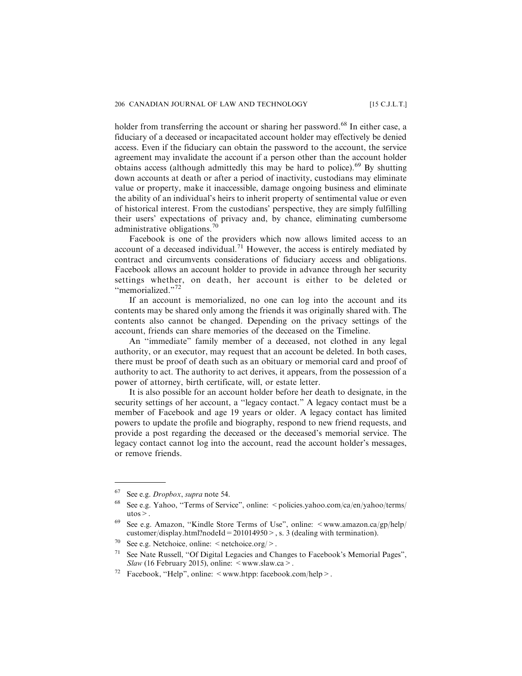holder from transferring the account or sharing her password.<sup>68</sup> In either case, a fiduciary of a deceased or incapacitated account holder may effectively be denied access. Even if the fiduciary can obtain the password to the account, the service agreement may invalidate the account if a person other than the account holder obtains access (although admittedly this may be hard to police).<sup>69</sup> By shutting down accounts at death or after a period of inactivity, custodians may eliminate value or property, make it inaccessible, damage ongoing business and eliminate the ability of an individual's heirs to inherit property of sentimental value or even of historical interest. From the custodians' perspective, they are simply fulfilling their users' expectations of privacy and, by chance, eliminating cumbersome administrative obligations.<sup>70</sup>

Facebook is one of the providers which now allows limited access to an account of a deceased individual.<sup>71</sup> However, the access is entirely mediated by contract and circumvents considerations of fiduciary access and obligations. Facebook allows an account holder to provide in advance through her security settings whether, on death, her account is either to be deleted or ''memorialized."<sup>72</sup>

If an account is memorialized, no one can log into the account and its contents may be shared only among the friends it was originally shared with. The contents also cannot be changed. Depending on the privacy settings of the account, friends can share memories of the deceased on the Timeline.

An ''immediate" family member of a deceased, not clothed in any legal authority, or an executor, may request that an account be deleted. In both cases, there must be proof of death such as an obituary or memorial card and proof of authority to act. The authority to act derives, it appears, from the possession of a power of attorney, birth certificate, will, or estate letter.

It is also possible for an account holder before her death to designate, in the security settings of her account, a ''legacy contact." A legacy contact must be a member of Facebook and age 19 years or older. A legacy contact has limited powers to update the profile and biography, respond to new friend requests, and provide a post regarding the deceased or the deceased's memorial service. The legacy contact cannot log into the account, read the account holder's messages, or remove friends.

 $67$  See e.g. *Dropbox*, *supra* note 54.

<sup>&</sup>lt;sup>68</sup> See e.g. Yahoo, "Terms of Service", online:  $\leq$  policies.yahoo.com/ca/en/yahoo/terms/ utos $>$ .

<sup>&</sup>lt;sup>69</sup> See e.g. Amazon, "Kindle Store Terms of Use", online:  $\langle$ www.amazon.ca/gp/help/ customer/display.html?nodeId =  $201014950$  >, s. 3 (dealing with termination).

<sup>&</sup>lt;sup>70</sup> See e.g. Netchoice, online:  $\leq$  netchoice.org/ $>$ .

<sup>71</sup> See Nate Russell, ''Of Digital Legacies and Changes to Facebook's Memorial Pages", Slaw (16 February 2015), online:  $\leq$  www.slaw.ca  $\geq$ .

Facebook, "Help", online:  $\leq$  www.htpp: facebook.com/help $\geq$ .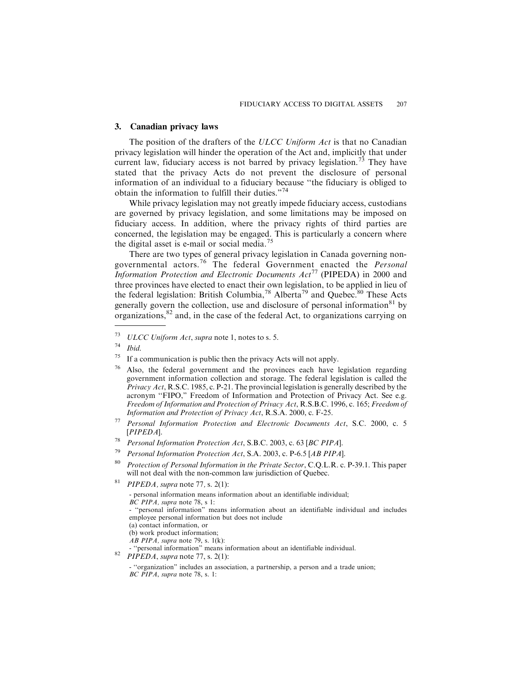# **3. Canadian privacy laws**

The position of the drafters of the ULCC Uniform Act is that no Canadian privacy legislation will hinder the operation of the Act and, implicitly that under current law, fiduciary access is not barred by privacy legislation.<sup>73</sup> They have stated that the privacy Acts do not prevent the disclosure of personal information of an individual to a fiduciary because ''the fiduciary is obliged to obtain the information to fulfill their duties."<sup>74</sup>

While privacy legislation may not greatly impede fiduciary access, custodians are governed by privacy legislation, and some limitations may be imposed on fiduciary access. In addition, where the privacy rights of third parties are concerned, the legislation may be engaged. This is particularly a concern where the digital asset is e-mail or social media.<sup>75</sup>

There are two types of general privacy legislation in Canada governing nongovernmental actors.<sup>76</sup> The federal Government enacted the *Personal* Information Protection and Electronic Documents  $Act^{77}$  (PIPEDA) in 2000 and three provinces have elected to enact their own legislation, to be applied in lieu of the federal legislation: British Columbia,<sup>78</sup> Alberta<sup>79</sup> and Quebec.<sup>80</sup> These Acts generally govern the collection, use and disclosure of personal information $81$  by organizations,  $82$  and, in the case of the federal Act, to organizations carrying on

 $73$  ULCC Uniform Act, supra note 1, notes to s. 5.

 $74$  Ibid.

 $75$  If a communication is public then the privacy Acts will not apply.

<sup>76</sup> Also, the federal government and the provinces each have legislation regarding government information collection and storage. The federal legislation is called the Privacy Act, R.S.C. 1985, c. P-21. The provincial legislation is generally described by the acronym ''FIPO," Freedom of Information and Protection of Privacy Act. See e.g. Freedom of Information and Protection of Privacy Act, R.S.B.C. 1996, c. 165; Freedom of Information and Protection of Privacy Act, R.S.A. 2000, c. F-25.

 $77$  Personal Information Protection and Electronic Documents Act, S.C. 2000, c. 5 [PIPEDA].

<sup>78</sup> Personal Information Protection Act, S.B.C. 2003, c. 63 [BC PIPA].

<sup>&</sup>lt;sup>79</sup> Personal Information Protection Act, S.A. 2003, c. P-6.5 [AB PIPA].

<sup>&</sup>lt;sup>80</sup> Protection of Personal Information in the Private Sector, C.Q.L.R. c. P-39.1. This paper will not deal with the non-common law jurisdiction of Quebec.

<sup>&</sup>lt;sup>81</sup> PIPEDA, supra note 77, s. 2(1):

<sup>-</sup> personal information means information about an identifiable individual; BC PIPA, supra note 78, s 1: - ''personal information" means information about an identifiable individual and includes employee personal information but does not include (a) contact information, or (b) work product information;  $\overrightarrow{AB}$  PIPA, supra note 79, s. 1(k): <sup>52</sup> ''personal information" means information about an identifiable individual.<br><sup>82</sup> PIPEDA, supra note 77, s. 2(1):

<sup>- &#</sup>x27;'organization" includes an association, a partnership, a person and a trade union; BC PIPA, supra note 78, s. 1: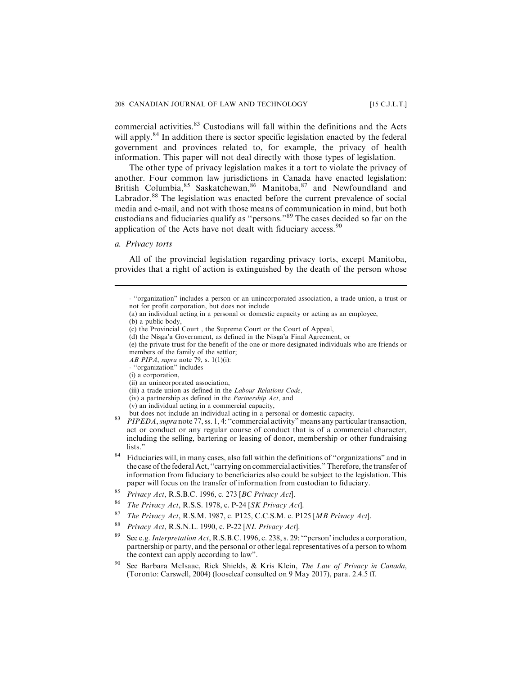commercial activities.<sup>83</sup> Custodians will fall within the definitions and the Acts will apply.<sup>84</sup> In addition there is sector specific legislation enacted by the federal government and provinces related to, for example, the privacy of health information. This paper will not deal directly with those types of legislation.

The other type of privacy legislation makes it a tort to violate the privacy of another. Four common law jurisdictions in Canada have enacted legislation: British Columbia, <sup>85</sup> Saskatchewan, <sup>86</sup> Manitoba, <sup>87</sup> and Newfoundland and Labrador.<sup>88</sup> The legislation was enacted before the current prevalence of social media and e-mail, and not with those means of communication in mind, but both custodians and fiduciaries qualify as ''persons."<sup>89</sup> The cases decided so far on the application of the Acts have not dealt with fiduciary access.<sup>90</sup>

# *a. Privacy torts*

All of the provincial legislation regarding privacy torts, except Manitoba, provides that a right of action is extinguished by the death of the person whose

- (d) the Nisga'a Government, as defined in the Nisga'a Final Agreement, or
- (e) the private trust for the benefit of the one or more designated individuals who are friends or members of the family of the settlor;
- AB PIPA, supra note 79, s.  $1(1)(i)$ :
- ''organization" includes
- (i) a corporation,
- (ii) an unincorporated association,
- (iii) a trade union as defined in the Labour Relations Code,
- (iv) a partnership as defined in the Partnership Act, and
- 
- (v) an individual acting in a commercial capacity,
- <sup>83</sup> PIPEDA, supra note 77, ss. 1, 4: "commercial activity" means any particular transaction, act or conduct or any regular course of conduct that is of a commercial character, including the selling, bartering or leasing of donor, membership or other fundraising lists."
- <sup>84</sup> Fiduciaries will, in many cases, also fall within the definitions of "organizations" and in the case of the federal Act, ''carrying on commercial activities." Therefore, the transfer of information from fiduciary to beneficiaries also could be subject to the legislation. This paper will focus on the transfer of information from custodian to fiduciary.
- <sup>85</sup> Privacy Act, R.S.B.C. 1996, c. 273 [BC Privacy Act].
- <sup>86</sup> The Privacy Act, R.S.S. 1978, c. P-24 [SK Privacy Act].
- The Privacy Act, R.S.M. 1987, c. P125, C.C.S.M. c. P125 [MB Privacy Act].
- <sup>88</sup> Privacy Act, R.S.N.L. 1990, c. P-22 [NL Privacy Act].
- See e.g. *Interpretation Act*, R.S.B.C. 1996, c. 238, s. 29: "person' includes a corporation, partnership or party, and the personal or other legal representatives of a person to whom the context can apply according to law".
- <sup>90</sup> See Barbara McIsaac, Rick Shields, & Kris Klein, *The Law of Privacy in Canada*, (Toronto: Carswell, 2004) (looseleaf consulted on 9 May 2017), para. 2.4.5 ff.

<sup>- &#</sup>x27;'organization" includes a person or an unincorporated association, a trade union, a trust or not for profit corporation, but does not include

<sup>(</sup>a) an individual acting in a personal or domestic capacity or acting as an employee,

<sup>(</sup>b) a public body,

<sup>(</sup>c) the Provincial Court , the Supreme Court or the Court of Appeal,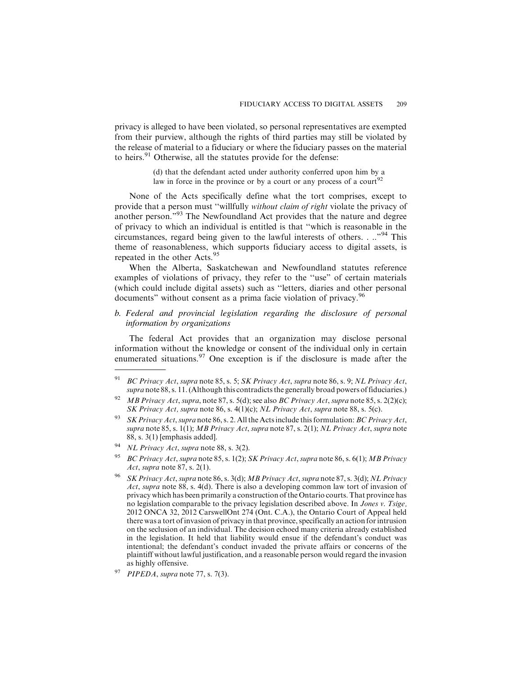privacy is alleged to have been violated, so personal representatives are exempted from their purview, although the rights of third parties may still be violated by the release of material to a fiduciary or where the fiduciary passes on the material to heirs.<sup>91</sup> Otherwise, all the statutes provide for the defense:

> (d) that the defendant acted under authority conferred upon him by a law in force in the province or by a court or any process of a court<sup>92</sup>

None of the Acts specifically define what the tort comprises, except to provide that a person must ''willfully without claim of right violate the privacy of another person."<sup>93</sup> The Newfoundland Act provides that the nature and degree of privacy to which an individual is entitled is that ''which is reasonable in the circumstances, regard being given to the lawful interests of others. . .."<sup>94</sup> This theme of reasonableness, which supports fiduciary access to digital assets, is repeated in the other Acts.<sup>95</sup>

When the Alberta, Saskatchewan and Newfoundland statutes reference examples of violations of privacy, they refer to the ''use" of certain materials (which could include digital assets) such as ''letters, diaries and other personal documents" without consent as a prima facie violation of privacy.<sup>96</sup>

# *b. Federal and provincial legislation regarding the disclosure of personal information by organizations*

The federal Act provides that an organization may disclose personal information without the knowledge or consent of the individual only in certain enumerated situations.<sup>97</sup> One exception is if the disclosure is made after the

<sup>&</sup>lt;sup>91</sup> BC Privacy Act, supra note 85, s. 5; SK Privacy Act, supra note 86, s. 9; NL Privacy Act, supra note 88, s. 11. (Although this contradicts the generally broad powers of fiduciaries.)

<sup>&</sup>lt;sup>92</sup> MB Privacy Act, supra, note 87, s. 5(d); see also BC Privacy Act, supra note 85, s. 2(2)(c); SK Privacy Act, supra note 86, s. 4(1)(c); NL Privacy Act, supra note 88, s. 5(c).

<sup>&</sup>lt;sup>93</sup> SK Privacy Act, supra note 86, s. 2. All the Acts include this formulation: BC Privacy Act, supra note 85, s. 1(1); MB Privacy Act, supra note 87, s. 2(1); NL Privacy Act, supra note 88, s. 3(1) [emphasis added].

<sup>&</sup>lt;sup>94</sup> NL Privacy Act, supra note 88, s.  $3(2)$ .

<sup>&</sup>lt;sup>95</sup> BC Privacy Act, supra note 85, s. 1(2); SK Privacy Act, supra note 86, s. 6(1); MB Privacy Act, supra note 87, s. 2(1).

SK Privacy Act, supra note 86, s. 3(d); MB Privacy Act, supra note 87, s. 3(d); NL Privacy Act, supra note 88, s. 4(d). There is also a developing common law tort of invasion of privacy which has been primarily a construction of the Ontario courts. That province has no legislation comparable to the privacy legislation described above. In Jones v. Tsige, 2012 ONCA 32, 2012 CarswellOnt 274 (Ont. C.A.), the Ontario Court of Appeal held there was a tort of invasion of privacy in that province, specifically an action for intrusion on the seclusion of an individual. The decision echoed many criteria already established in the legislation. It held that liability would ensue if the defendant's conduct was intentional; the defendant's conduct invaded the private affairs or concerns of the plaintiff without lawful justification, and a reasonable person would regard the invasion as highly offensive.

 $PIPEDA$ , supra note 77, s. 7(3).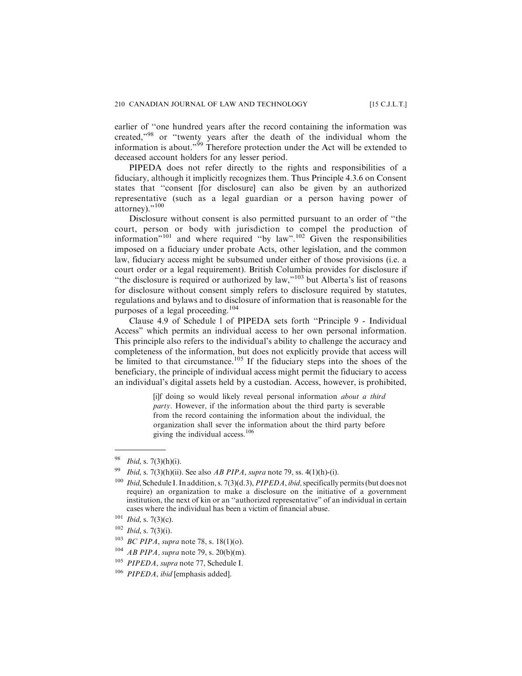earlier of ''one hundred years after the record containing the information was created,"<sup>98</sup> or ''twenty years after the death of the individual whom the information is about."<sup>99</sup> Therefore protection under the Act will be extended to deceased account holders for any lesser period.

PIPEDA does not refer directly to the rights and responsibilities of a fiduciary, although it implicitly recognizes them. Thus Principle 4.3.6 on Consent states that ''consent [for disclosure] can also be given by an authorized representative (such as a legal guardian or a person having power of attorney)."<sup>100</sup>

Disclosure without consent is also permitted pursuant to an order of ''the court, person or body with jurisdiction to compel the production of information"<sup>101</sup> and where required ''by law".<sup>102</sup> Given the responsibilities imposed on a fiduciary under probate Acts, other legislation, and the common law, fiduciary access might be subsumed under either of those provisions (i.e. a court order or a legal requirement). British Columbia provides for disclosure if ''the disclosure is required or authorized by law,"<sup>103</sup> but Alberta's list of reasons for disclosure without consent simply refers to disclosure required by statutes, regulations and bylaws and to disclosure of information that is reasonable for the purposes of a legal proceeding.<sup>104</sup>

Clause 4.9 of Schedule l of PIPEDA sets forth ''Principle 9 - Individual Access" which permits an individual access to her own personal information. This principle also refers to the individual's ability to challenge the accuracy and completeness of the information, but does not explicitly provide that access will be limited to that circumstance.<sup>105</sup> If the fiduciary steps into the shoes of the beneficiary, the principle of individual access might permit the fiduciary to access an individual's digital assets held by a custodian. Access, however, is prohibited,

> [i]f doing so would likely reveal personal information about a third party. However, if the information about the third party is severable from the record containing the information about the individual, the organization shall sever the information about the third party before giving the individual access. $106$

 $98$  *Ibid*, s. 7(3)(h)(i).

<sup>&</sup>lt;sup>99</sup> *Ibid, s.* 7(3)(h)(ii). See also *AB PIPA, supra* note 79, ss. 4(1)(h)-(i).

<sup>&</sup>lt;sup>100</sup> Ibid, Schedule I. In addition, s. 7(3)(d.3), PIPEDA, ibid, specifically permits (but does not require) an organization to make a disclosure on the initiative of a government institution, the next of kin or an ''authorized representative" of an individual in certain cases where the individual has been a victim of financial abuse.

 $101$  *Ibid*, s. 7(3)(c).

 $102$  *Ibid*, s. 7(3)(i).

<sup>&</sup>lt;sup>103</sup> BC PIPA, supra note 78, s. 18(1)(o).

 $^{104}$  AB PIPA, supra note 79, s. 20(b)(m).

<sup>&</sup>lt;sup>105</sup> PIPEDA, supra note 77, Schedule I.

<sup>&</sup>lt;sup>106</sup> PIPEDA, ibid [emphasis added].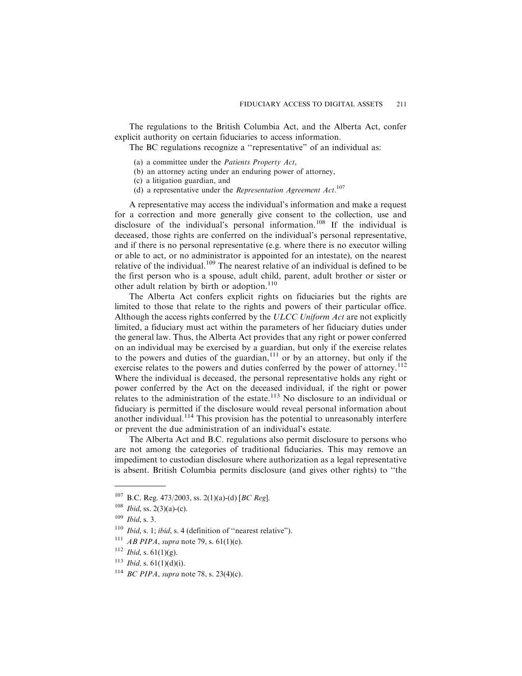The regulations to the British Columbia Act, and the Alberta Act, confer explicit authority on certain fiduciaries to access information.

The BC regulations recognize a "representative" of an individual as:

- (a) a committee under the Patients Property Act,
- (b) an attorney acting under an enduring power of attorney,
- (c) a litigation guardian, and
- (d) a representative under the Representation Agreement Act.<sup>107</sup>

A representative may access the individual's information and make a request for a correction and more generally give consent to the collection, use and disclosure of the individual's personal information.<sup>108</sup> If the individual is deceased, those rights are conferred on the individual's personal representative, and if there is no personal representative (e.g. where there is no executor willing or able to act, or no administrator is appointed for an intestate), on the nearest relative of the individual.<sup>109</sup> The nearest relative of an individual is defined to be the first person who is a spouse, adult child, parent, adult brother or sister or other adult relation by birth or adoption.<sup>110</sup>

The Alberta Act confers explicit rights on fiduciaries but the rights are limited to those that relate to the rights and powers of their particular office. Although the access rights conferred by the ULCC Uniform Act are not explicitly limited, a fiduciary must act within the parameters of her fiduciary duties under the general law. Thus, the Alberta Act provides that any right or power conferred on an individual may be exercised by a guardian, but only if the exercise relates to the powers and duties of the guardian,  $111$  or by an attorney, but only if the exercise relates to the powers and duties conferred by the power of attorney.<sup>112</sup> Where the individual is deceased, the personal representative holds any right or power conferred by the Act on the deceased individual, if the right or power relates to the administration of the estate.<sup>113</sup> No disclosure to an individual or fiduciary is permitted if the disclosure would reveal personal information about another individual.<sup>114</sup> This provision has the potential to unreasonably interfere or prevent the due administration of an individual's estate.

The Alberta Act and B.C. regulations also permit disclosure to persons who are not among the categories of traditional fiduciaries. This may remove an impediment to custodian disclosure where authorization as a legal representative is absent. British Columbia permits disclosure (and gives other rights) to ''the

- $112$  *Ibid*, s. 61(1)(g).
- $113$  *Ibid*, s. 61(1)(d)(i).
- <sup>114</sup> *BC PIPA*, *supra* note 78, s. 23(4)(c).

 $107$  B.C. Reg. 473/2003, ss. 2(1)(a)-(d) [BC Reg].

 $108$  *Ibid*, ss. 2(3)(a)-(c).

 $109$  *Ibid*, s. 3.

 $110$  *Ibid, s.* 1; *ibid, s.* 4 (definition of "nearest relative").

<sup>&</sup>lt;sup>111</sup> *AB PIPA*, *supra* note 79, s. 61(1)(e).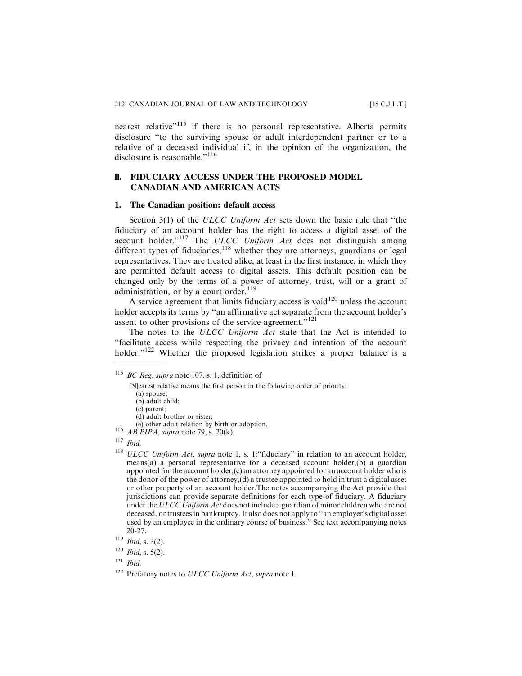nearest relative"<sup>115</sup> if there is no personal representative. Alberta permits disclosure ''to the surviving spouse or adult interdependent partner or to a relative of a deceased individual if, in the opinion of the organization, the disclosure is reasonable."<sup>116</sup>

# **ll. FIDUCIARY ACCESS UNDER THE PROPOSED MODEL CANADIAN AND AMERICAN ACTS**

#### **1. The Canadian position: default access**

Section 3(1) of the ULCC Uniform Act sets down the basic rule that "the fiduciary of an account holder has the right to access a digital asset of the account holder."<sup>117</sup> The ULCC Uniform Act does not distinguish among different types of fiduciaries,  $118$  whether they are attorneys, guardians or legal representatives. They are treated alike, at least in the first instance, in which they are permitted default access to digital assets. This default position can be changed only by the terms of a power of attorney, trust, will or a grant of administration, or by a court order.<sup>119</sup>

A service agreement that limits fiduciary access is void $120$  unless the account holder accepts its terms by ''an affirmative act separate from the account holder's assent to other provisions of the service agreement."<sup>121</sup>

The notes to the ULCC Uniform Act state that the Act is intended to ''facilitate access while respecting the privacy and intention of the account holder."<sup>122</sup> Whether the proposed legislation strikes a proper balance is a

[N]earest relative means the first person in the following order of priority:

- (b) adult child; (c) parent;
- 

- <sup>116</sup>  $\overrightarrow{AB}$  PIPA, supra note 79, s. 20(k).
- $117$  *Ibid.*
- $118$  ULCC Uniform Act, supra note 1, s. 1: "fiduciary" in relation to an account holder, means(a) a personal representative for a deceased account holder,(b) a guardian appointed for the account holder, $(c)$  an attorney appointed for an account holder who is the donor of the power of attorney,(d) a trustee appointed to hold in trust a digital asset or other property of an account holder.The notes accompanying the Act provide that jurisdictions can provide separate definitions for each type of fiduciary. A fiduciary under the ULCC Uniform Act does not include a guardian of minor children who are not deceased, or trustees in bankruptcy. It also does not apply to ''an employer's digital asset used by an employee in the ordinary course of business." See text accompanying notes 20-27.
- $119$  *Ibid*, s. 3(2).
- $120$  *Ibid*, s. 5(2).

 $121$  *Ibid.* 

 $115$  BC Reg, supra note 107, s. 1, definition of

<sup>(</sup>a) spouse;

 $(d)$  adult brother or sister;<br>(e) other adult relation by birth or adoption.

<sup>&</sup>lt;sup>122</sup> Prefatory notes to ULCC Uniform Act, supra note 1.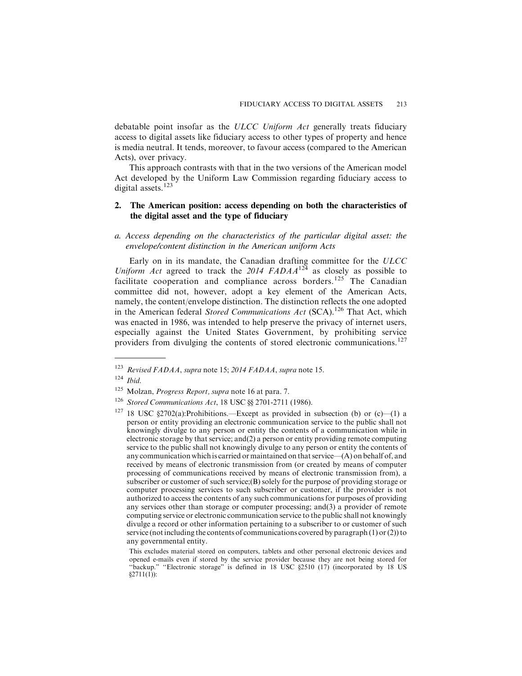debatable point insofar as the ULCC Uniform Act generally treats fiduciary access to digital assets like fiduciary access to other types of property and hence is media neutral. It tends, moreover, to favour access (compared to the American Acts), over privacy.

This approach contrasts with that in the two versions of the American model Act developed by the Uniform Law Commission regarding fiduciary access to digital assets.<sup>123</sup>

# **2. The American position: access depending on both the characteristics of the digital asset and the type of fiduciary**

*a. Access depending on the characteristics of the particular digital asset: the envelope/content distinction in the American uniform Acts*

Early on in its mandate, the Canadian drafting committee for the ULCC Uniform Act agreed to track the 2014 FADAA<sup>124</sup> as closely as possible to facilitate cooperation and compliance across borders.<sup>125</sup> The Canadian committee did not, however, adopt a key element of the American Acts, namely, the content/envelope distinction. The distinction reflects the one adopted in the American federal Stored Communications Act (SCA).<sup>126</sup> That Act, which was enacted in 1986, was intended to help preserve the privacy of internet users, especially against the United States Government, by prohibiting service providers from divulging the contents of stored electronic communications.<sup>127</sup>

<sup>123</sup> Revised FADAA, supra note 15; 2014 FADAA, supra note 15.

 $124$  Ibid.

<sup>&</sup>lt;sup>125</sup> Molzan, *Progress Report*, supra note 16 at para. 7.

<sup>&</sup>lt;sup>126</sup> Stored Communications Act, 18 USC §§ 2701-2711 (1986).

<sup>&</sup>lt;sup>127</sup> 18 USC §2702(a):Prohibitions.—Except as provided in subsection (b) or (c)—(1) a person or entity providing an electronic communication service to the public shall not knowingly divulge to any person or entity the contents of a communication while in electronic storage by that service; and  $(2)$  a person or entity providing remote computing service to the public shall not knowingly divulge to any person or entity the contents of any communication which is carried or maintained on that service—(A) on behalf of, and received by means of electronic transmission from (or created by means of computer processing of communications received by means of electronic transmission from), a subscriber or customer of such service;(B) solely for the purpose of providing storage or computer processing services to such subscriber or customer, if the provider is not authorized to access the contents of any such communications for purposes of providing any services other than storage or computer processing; and(3) a provider of remote computing service or electronic communication service to the public shall not knowingly divulge a record or other information pertaining to a subscriber to or customer of such service (not including the contents of communications covered by paragraph (1) or (2)) to any governmental entity.

This excludes material stored on computers, tablets and other personal electronic devices and opened e-mails even if stored by the service provider because they are not being stored for ''backup." ''Electronic storage" is defined in 18 USC §2510 (17) (incorporated by 18 US  $§2711(1))$ :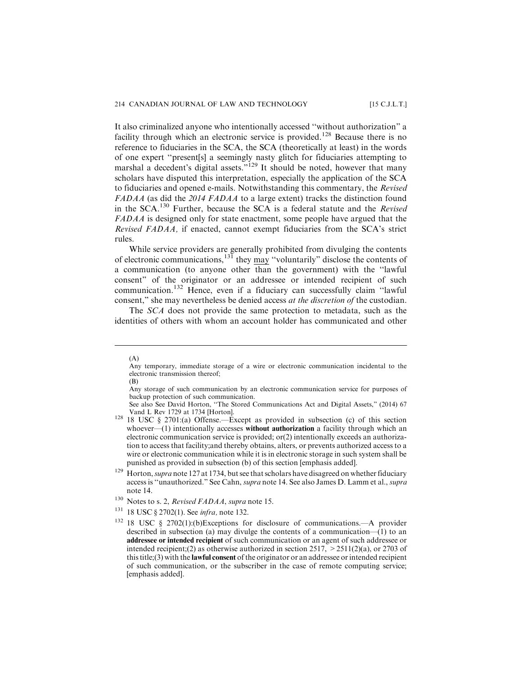It also criminalized anyone who intentionally accessed ''without authorization" a facility through which an electronic service is provided.<sup>128</sup> Because there is no reference to fiduciaries in the SCA, the SCA (theoretically at least) in the words of one expert ''present[s] a seemingly nasty glitch for fiduciaries attempting to marshal a decedent's digital assets."<sup>129</sup> It should be noted, however that many scholars have disputed this interpretation, especially the application of the SCA to fiduciaries and opened e-mails. Notwithstanding this commentary, the Revised FADAA (as did the 2014 FADAA to a large extent) tracks the distinction found in the  $SCA$ <sup>130</sup> Further, because the  $SCA$  is a federal statute and the *Revised* FADAA is designed only for state enactment, some people have argued that the Revised FADAA, if enacted, cannot exempt fiduciaries from the SCA's strict rules.

While service providers are generally prohibited from divulging the contents of electronic communications, $^{131}$  they may "voluntarily" disclose the contents of a communication (to anyone other than the government) with the ''lawful consent" of the originator or an addressee or intended recipient of such communication.<sup>132</sup> Hence, even if a fiduciary can successfully claim ''lawful consent," she may nevertheless be denied access at the discretion of the custodian.

The SCA does not provide the same protection to metadata, such as the identities of others with whom an account holder has communicated and other

<sup>(</sup>A)

Any temporary, immediate storage of a wire or electronic communication incidental to the electronic transmission thereof;

<sup>(</sup>B)

Any storage of such communication by an electronic communication service for purposes of backup protection of such communication.

See also See David Horton, "The Stored Communications Act and Digital Assets," (2014) 67 Vand L Rev 1729 at 1734 [Horton].

<sup>&</sup>lt;sup>128</sup> 18 USC § 2701:(a) Offense.—Except as provided in subsection (c) of this section whoever— $(1)$  intentionally accesses **without authorization** a facility through which an electronic communication service is provided; or(2) intentionally exceeds an authorization to access that facility;and thereby obtains, alters, or prevents authorized access to a wire or electronic communication while it is in electronic storage in such system shall be punished as provided in subsection (b) of this section [emphasis added].

<sup>&</sup>lt;sup>129</sup> Horton, *supra* note 127 at 1734, but see that scholars have disagreed on whether fiduciary access is ''unauthorized." See Cahn, supra note 14. See also James D. Lamm et al., supra note 14.

 $130$  Notes to s. 2, Revised FADAA, supra note 15.

<sup>&</sup>lt;sup>131</sup> 18 USC § 2702(1). See *infra*, note 132.

<sup>132</sup> 18 USC § 2702(1):(b)Exceptions for disclosure of communications.—A provider described in subsection (a) may divulge the contents of a communication—(1) to an addressee or intended recipient of such communication or an agent of such addressee or intended recipient;(2) as otherwise authorized in section 2517,  $>$  2511(2)(a), or 2703 of this title;(3) with the lawful consent of the originator or an addressee or intended recipient of such communication, or the subscriber in the case of remote computing service; [emphasis added].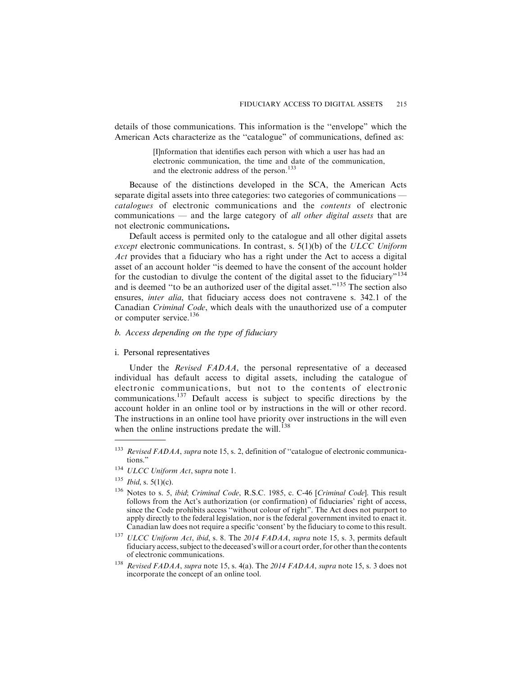details of those communications. This information is the ''envelope" which the American Acts characterize as the ''catalogue" of communications, defined as:

> [I]nformation that identifies each person with which a user has had an electronic communication, the time and date of the communication, and the electronic address of the person.<sup>133</sup>

Because of the distinctions developed in the SCA, the American Acts separate digital assets into three categories: two categories of communications catalogues of electronic communications and the contents of electronic communications  $-$  and the large category of *all other digital assets* that are not electronic communications.

Default access is permited only to the catalogue and all other digital assets except electronic communications. In contrast, s. 5(1)(b) of the ULCC Uniform Act provides that a fiduciary who has a right under the Act to access a digital asset of an account holder ''is deemed to have the consent of the account holder for the custodian to divulge the content of the digital asset to the fiduciary"<sup>134</sup> and is deemed ''to be an authorized user of the digital asset."<sup>135</sup> The section also ensures, inter alia, that fiduciary access does not contravene s. 342.1 of the Canadian Criminal Code, which deals with the unauthorized use of a computer or computer service.<sup>136</sup>

# *b. Access depending on the type of fiduciary*

# i. Personal representatives

Under the Revised FADAA, the personal representative of a deceased individual has default access to digital assets, including the catalogue of electronic communications, but not to the contents of electronic communications.<sup>137</sup> Default access is subject to specific directions by the account holder in an online tool or by instructions in the will or other record. The instructions in an online tool have priority over instructions in the will even when the online instructions predate the will. $^{138}$ 

<sup>&</sup>lt;sup>133</sup> Revised FADAA, supra note 15, s. 2, definition of "catalogue of electronic communications."

<sup>&</sup>lt;sup>134</sup> ULCC Uniform Act, supra note 1.

 $135$  *Ibid*, s. 5(1)(c).

<sup>&</sup>lt;sup>136</sup> Notes to s. 5, ibid; Criminal Code, R.S.C. 1985, c. C-46 [Criminal Code]. This result follows from the Act's authorization (or confirmation) of fiduciaries' right of access, since the Code prohibits access ''without colour of right". The Act does not purport to apply directly to the federal legislation, nor is the federal government invited to enact it. Canadian law does not require a specific 'consent' by the fiduciary to come to this result.

<sup>&</sup>lt;sup>137</sup> ULCC Uniform Act, ibid, s. 8. The 2014 FADAA, supra note 15, s. 3, permits default fiduciary access, subject to the deceased's will or a court order, for other than the contents of electronic communications.

<sup>&</sup>lt;sup>138</sup> Revised FADAA, supra note 15, s. 4(a). The 2014 FADAA, supra note 15, s. 3 does not incorporate the concept of an online tool.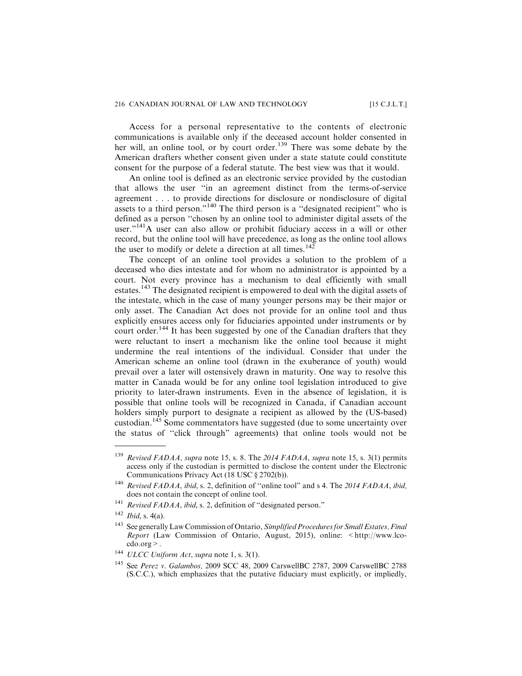## 216 CANADIAN JOURNAL OF LAW AND TECHNOLOGY [15 C.J.L.T.]

Access for a personal representative to the contents of electronic communications is available only if the deceased account holder consented in her will, an online tool, or by court order.<sup>139</sup> There was some debate by the American drafters whether consent given under a state statute could constitute consent for the purpose of a federal statute. The best view was that it would.

An online tool is defined as an electronic service provided by the custodian that allows the user ''in an agreement distinct from the terms-of-service agreement . . . to provide directions for disclosure or nondisclosure of digital assets to a third person."<sup>140</sup> The third person is a "designated recipient" who is defined as a person ''chosen by an online tool to administer digital assets of the user."<sup>141</sup>A user can also allow or prohibit fiduciary access in a will or other record, but the online tool will have precedence, as long as the online tool allows the user to modify or delete a direction at all times.<sup>142</sup>

The concept of an online tool provides a solution to the problem of a deceased who dies intestate and for whom no administrator is appointed by a court. Not every province has a mechanism to deal efficiently with small estates.<sup>143</sup> The designated recipient is empowered to deal with the digital assets of the intestate, which in the case of many younger persons may be their major or only asset. The Canadian Act does not provide for an online tool and thus explicitly ensures access only for fiduciaries appointed under instruments or by court order.<sup>144</sup> It has been suggested by one of the Canadian drafters that they were reluctant to insert a mechanism like the online tool because it might undermine the real intentions of the individual. Consider that under the American scheme an online tool (drawn in the exuberance of youth) would prevail over a later will ostensively drawn in maturity. One way to resolve this matter in Canada would be for any online tool legislation introduced to give priority to later-drawn instruments. Even in the absence of legislation, it is possible that online tools will be recognized in Canada, if Canadian account holders simply purport to designate a recipient as allowed by the (US-based) custodian.<sup>145</sup> Some commentators have suggested (due to some uncertainty over the status of ''click through" agreements) that online tools would not be

<sup>&</sup>lt;sup>139</sup> Revised FADAA, supra note 15, s. 8. The 2014 FADAA, supra note 15, s. 3(1) permits access only if the custodian is permitted to disclose the content under the Electronic Communications Privacy Act (18 USC § 2702(b)).

<sup>&</sup>lt;sup>140</sup> Revised FADAA, ibid, s. 2, definition of "online tool" and s 4. The 2014 FADAA, ibid, does not contain the concept of online tool.

<sup>&</sup>lt;sup>141</sup> Revised FADAA, ibid, s. 2, definition of "designated person."

 $142$  *Ibid*, s. 4(a).

<sup>&</sup>lt;sup>143</sup> See generally Law Commission of Ontario, Simplified Procedures for Small Estates, Final Report (Law Commission of Ontario, August, 2015), online: <http://www.lcocdo.org>.

<sup>&</sup>lt;sup>144</sup> ULCC Uniform Act, supra note 1, s. 3(1).

<sup>145</sup> See Perez v. Galambos, 2009 SCC 48, 2009 CarswellBC 2787, 2009 CarswellBC 2788 (S.C.C.), which emphasizes that the putative fiduciary must explicitly, or impliedly,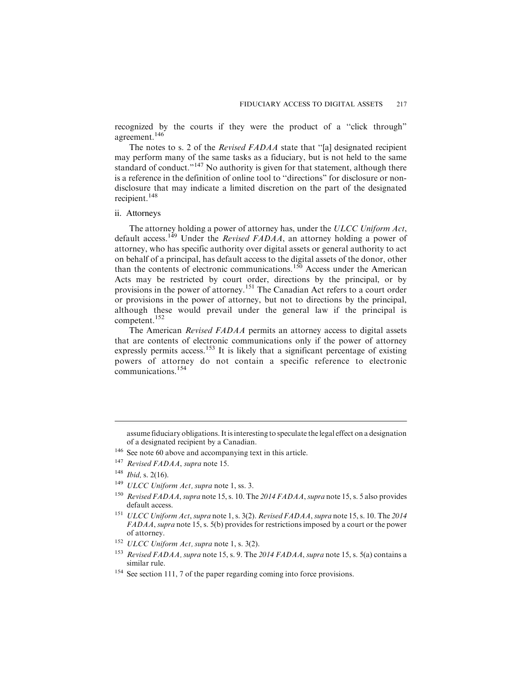recognized by the courts if they were the product of a ''click through" agreement.<sup>146</sup>

The notes to s. 2 of the *Revised FADAA* state that "[a] designated recipient may perform many of the same tasks as a fiduciary, but is not held to the same standard of conduct."<sup>147</sup> No authority is given for that statement, although there is a reference in the definition of online tool to ''directions" for disclosure or nondisclosure that may indicate a limited discretion on the part of the designated recipient.<sup>148</sup>

# ii. Attorneys

The attorney holding a power of attorney has, under the ULCC Uniform Act, default access.<sup>149</sup> Under the *Revised FADAA*, an attorney holding a power of attorney, who has specific authority over digital assets or general authority to act on behalf of a principal, has default access to the digital assets of the donor, other than the contents of electronic communications.<sup>150</sup> Access under the American Acts may be restricted by court order, directions by the principal, or by provisions in the power of attorney.<sup>151</sup> The Canadian Act refers to a court order or provisions in the power of attorney, but not to directions by the principal, although these would prevail under the general law if the principal is competent.<sup>152</sup>

The American Revised FADAA permits an attorney access to digital assets that are contents of electronic communications only if the power of attorney expressly permits access.<sup>153</sup> It is likely that a significant percentage of existing powers of attorney do not contain a specific reference to electronic communications.<sup>154</sup>

<sup>149</sup> ULCC Uniform Act, supra note 1, ss. 3.

<sup>152</sup> ULCC Uniform Act, supra note 1, s. 3(2).

assume fiduciary obligations. It is interesting to speculate the legal effect on a designation of a designated recipient by a Canadian.

<sup>&</sup>lt;sup>146</sup> See note 60 above and accompanying text in this article.

<sup>&</sup>lt;sup>147</sup> Revised FADAA, supra note 15.

 $148$  *Ibid, s.* 2(16).

<sup>&</sup>lt;sup>150</sup> Revised FADAA, supra note 15, s. 10. The 2014 FADAA, supra note 15, s. 5 also provides default access.

<sup>&</sup>lt;sup>151</sup> ULCC Uniform Act, supra note 1, s. 3(2). Revised FADAA, supra note 15, s. 10. The 2014 FADAA, supra note 15, s. 5(b) provides for restrictions imposed by a court or the power of attorney.

<sup>&</sup>lt;sup>153</sup> Revised FADAA, supra note 15, s. 9. The 2014 FADAA, supra note 15, s. 5(a) contains a similar rule.

<sup>&</sup>lt;sup>154</sup> See section 111, 7 of the paper regarding coming into force provisions.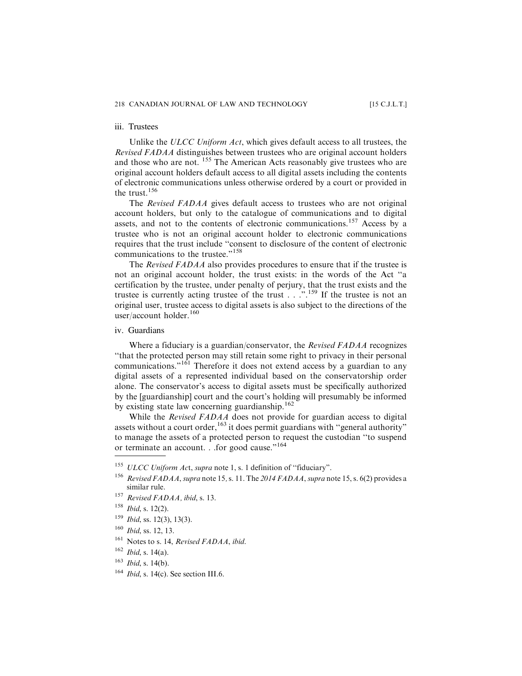#### iii. Trustees

Unlike the ULCC Uniform Act, which gives default access to all trustees, the Revised FADAA distinguishes between trustees who are original account holders and those who are not. <sup>155</sup> The American Acts reasonably give trustees who are original account holders default access to all digital assets including the contents of electronic communications unless otherwise ordered by a court or provided in the trust.<sup>156</sup>

The Revised FADAA gives default access to trustees who are not original account holders, but only to the catalogue of communications and to digital assets, and not to the contents of electronic communications.<sup>157</sup> Access by a trustee who is not an original account holder to electronic communications requires that the trust include ''consent to disclosure of the content of electronic communications to the trustee."<sup>158</sup>

The Revised FADAA also provides procedures to ensure that if the trustee is not an original account holder, the trust exists: in the words of the Act ''a certification by the trustee, under penalty of perjury, that the trust exists and the trustee is currently acting trustee of the trust . . .".<sup>159</sup> If the trustee is not an original user, trustee access to digital assets is also subject to the directions of the user/account holder.<sup>160</sup>

#### iv. Guardians

Where a fiduciary is a guardian/conservator, the Revised FADAA recognizes ''that the protected person may still retain some right to privacy in their personal communications."<sup>161</sup> Therefore it does not extend access by a guardian to any digital assets of a represented individual based on the conservatorship order alone. The conservator's access to digital assets must be specifically authorized by the [guardianship] court and the court's holding will presumably be informed by existing state law concerning guardianship. $162$ 

While the *Revised FADAA* does not provide for guardian access to digital assets without a court order,  $163$  it does permit guardians with "general authority" to manage the assets of a protected person to request the custodian ''to suspend or terminate an account. . .for good cause."<sup>164</sup>

<sup>&</sup>lt;sup>155</sup> ULCC Uniform Act, supra note 1, s. 1 definition of "fiduciary".

<sup>&</sup>lt;sup>156</sup> Revised FADAA, supra note 15, s. 11. The 2014 FADAA, supra note 15, s. 6(2) provides a similar rule.

<sup>157</sup> Revised FADAA, ibid, s. 13.

<sup>158</sup> Ibid, s. 12(2).

 $159$  *Ibid*, ss. 12(3), 13(3).

 $160$  *Ibid*, ss. 12, 13.

<sup>&</sup>lt;sup>161</sup> Notes to s. 14, Revised FADAA, ibid.

 $162$  *Ibid.* s. 14(a).

 $163$  *Ibid*, s. 14(b).

 $164$  *Ibid*, s. 14(c). See section III.6.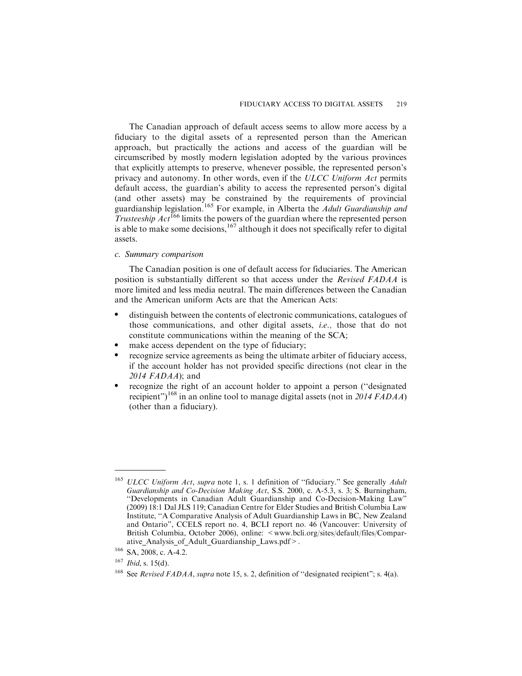The Canadian approach of default access seems to allow more access by a fiduciary to the digital assets of a represented person than the American approach, but practically the actions and access of the guardian will be circumscribed by mostly modern legislation adopted by the various provinces that explicitly attempts to preserve, whenever possible, the represented person's privacy and autonomy. In other words, even if the ULCC Uniform Act permits default access, the guardian's ability to access the represented person's digital (and other assets) may be constrained by the requirements of provincial guardianship legislation.<sup>165</sup> For example, in Alberta the *Adult Guardianship and* Trusteeship  $Act^{166}$  limits the powers of the guardian where the represented person is able to make some decisions,  $167$  although it does not specifically refer to digital assets.

# *c. Summary comparison*

The Canadian position is one of default access for fiduciaries. The American position is substantially different so that access under the Revised FADAA is more limited and less media neutral. The main differences between the Canadian and the American uniform Acts are that the American Acts:

- . distinguish between the contents of electronic communications, catalogues of those communications, and other digital assets, i.e., those that do not constitute communications within the meaning of the SCA;
- make access dependent on the type of fiduciary;
- . recognize service agreements as being the ultimate arbiter of fiduciary access, if the account holder has not provided specific directions (not clear in the  $2014$  FADAA); and
- . recognize the right of an account holder to appoint a person (''designated recipient")<sup>168</sup> in an online tool to manage digital assets (not in 2014 FADAA) (other than a fiduciary).

<sup>&</sup>lt;sup>165</sup> ULCC Uniform Act, supra note 1, s. 1 definition of "fiduciary." See generally Adult Guardianship and Co-Decision Making Act, S.S. 2000, c. A-5.3, s. 3; S. Burningham, ''Developments in Canadian Adult Guardianship and Co-Decision-Making Law" (2009) 18:1 Dal JLS 119; Canadian Centre for Elder Studies and British Columbia Law Institute, ''A Comparative Analysis of Adult Guardianship Laws in BC, New Zealand and Ontario", CCELS report no. 4, BCLI report no. 46 (Vancouver: University of British Columbia, October 2006), online: <www.bcli.org/sites/default/files/Comparative\_Analysis\_of\_Adult\_Guardianship\_Laws.pdf>.

<sup>166</sup> SA, 2008, c. A-4.2.

 $167$  *Ibid*, s. 15(d).

<sup>&</sup>lt;sup>168</sup> See Revised FADAA, supra note 15, s. 2, definition of "designated recipient"; s. 4(a).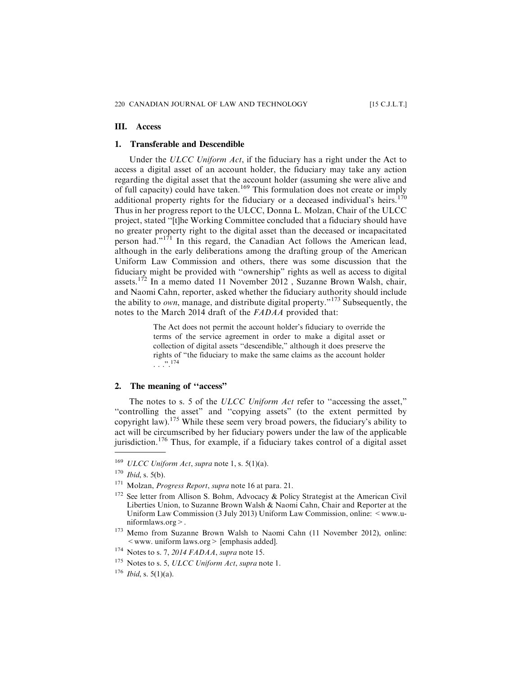# **III. Access**

## **1. Transferable and Descendible**

Under the ULCC Uniform Act, if the fiduciary has a right under the Act to access a digital asset of an account holder, the fiduciary may take any action regarding the digital asset that the account holder (assuming she were alive and of full capacity) could have taken.<sup>169</sup> This formulation does not create or imply additional property rights for the fiduciary or a deceased individual's heirs.<sup>170</sup> Thus in her progress report to the ULCC, Donna L. Molzan, Chair of the ULCC project, stated ''[t]he Working Committee concluded that a fiduciary should have no greater property right to the digital asset than the deceased or incapacitated person had."<sup>171</sup> In this regard, the Canadian Act follows the American lead, although in the early deliberations among the drafting group of the American Uniform Law Commission and others, there was some discussion that the fiduciary might be provided with ''ownership" rights as well as access to digital assets.<sup>172</sup> In a memo dated 11 November 2012, Suzanne Brown Walsh, chair, and Naomi Cahn, reporter, asked whether the fiduciary authority should include the ability to own, manage, and distribute digital property."<sup>173</sup> Subsequently, the notes to the March 2014 draft of the FADAA provided that:

> The Act does not permit the account holder's fiduciary to override the terms of the service agreement in order to make a digital asset or collection of digital assets ''descendible," although it does preserve the rights of "the fiduciary to make the same claims as the account holder . . .".174

# **2. The meaning of ''access"**

The notes to s. 5 of the ULCC Uniform Act refer to "accessing the asset," ''controlling the asset" and ''copying assets" (to the extent permitted by copyright law).<sup>175</sup> While these seem very broad powers, the fiduciary's ability to act will be circumscribed by her fiduciary powers under the law of the applicable jurisdiction.<sup>176</sup> Thus, for example, if a fiduciary takes control of a digital asset

 $169$  ULCC Uniform Act, supra note 1, s. 5(1)(a).

 $170$  *Ibid*, s. 5(b).

<sup>&</sup>lt;sup>171</sup> Molzan, *Progress Report*, supra note 16 at para. 21.

<sup>&</sup>lt;sup>172</sup> See letter from Allison S. Bohm, Advocacy & Policy Strategist at the American Civil Liberties Union, to Suzanne Brown Walsh & Naomi Cahn, Chair and Reporter at the Uniform Law Commission (3 July 2013) Uniform Law Commission, online:  $\leq$ www.uniformlaws.org>.

<sup>173</sup> Memo from Suzanne Brown Walsh to Naomi Cahn (11 November 2012), online: <www. uniform laws.org> [emphasis added].

 $174$  Notes to s. 7, 2014 FADAA, supra note 15.

 $175$  Notes to s. 5, ULCC Uniform Act, supra note 1.

 $176$  *Ibid*, s. 5(1)(a).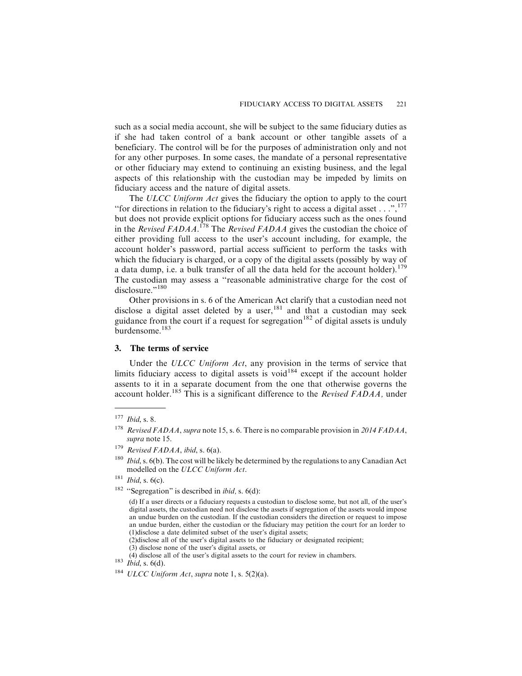such as a social media account, she will be subject to the same fiduciary duties as if she had taken control of a bank account or other tangible assets of a beneficiary. The control will be for the purposes of administration only and not for any other purposes. In some cases, the mandate of a personal representative or other fiduciary may extend to continuing an existing business, and the legal aspects of this relationship with the custodian may be impeded by limits on fiduciary access and the nature of digital assets.

The ULCC Uniform Act gives the fiduciary the option to apply to the court "for directions in relation to the fiduciary's right to access a digital asset  $\dots$ ",  $^{177}$ " but does not provide explicit options for fiduciary access such as the ones found in the Revised FADAA.<sup>178</sup> The Revised FADAA gives the custodian the choice of either providing full access to the user's account including, for example, the account holder's password, partial access sufficient to perform the tasks with which the fiduciary is charged, or a copy of the digital assets (possibly by way of a data dump, i.e. a bulk transfer of all the data held for the account holder).<sup>179</sup> The custodian may assess a ''reasonable administrative charge for the cost of disclosure."<sup>180</sup>

Other provisions in s. 6 of the American Act clarify that a custodian need not disclose a digital asset deleted by a user,  $181$  and that a custodian may seek guidance from the court if a request for segregation<sup>182</sup> of digital assets is unduly burdensome.<sup>183</sup>

# **3. The terms of service**

Under the ULCC Uniform Act, any provision in the terms of service that limits fiduciary access to digital assets is void $184$  except if the account holder assents to it in a separate document from the one that otherwise governs the account holder.<sup>185</sup> This is a significant difference to the *Revised FADAA*, under

(2)disclose all of the user's digital assets to the fiduciary or designated recipient; (3) disclose none of the user's digital assets, or

(4) disclose all of the user's digital assets to the court for review in chambers. <sup>183</sup> Ibid, s. 6(d).

 $177$  *Ibid*, s. 8.

<sup>&</sup>lt;sup>178</sup> Revised FADAA, supra note 15, s. 6. There is no comparable provision in 2014 FADAA, supra note 15.

<sup>&</sup>lt;sup>179</sup> Revised FADAA, ibid, s. 6(a).

 $180$  *Ibid*, s. 6(b). The cost will be likely be determined by the regulations to any Canadian Act modelled on the ULCC Uniform Act.

 $181$  *Ibid*, s. 6(c).

<sup>&</sup>lt;sup>182</sup> "Segregation" is described in *ibid*, s.  $6(d)$ :

<sup>(</sup>d) If a user directs or a fiduciary requests a custodian to disclose some, but not all, of the user's digital assets, the custodian need not disclose the assets if segregation of the assets would impose an undue burden on the custodian. If the custodian considers the direction or request to impose an undue burden, either the custodian or the fiduciary may petition the court for an lorder to (1)disclose a date delimited subset of the user's digital assets;

 $184 \; ULCC \; Uniform \; Act, \; supra \; note \; 1, \; s. \; 5(2)(a).$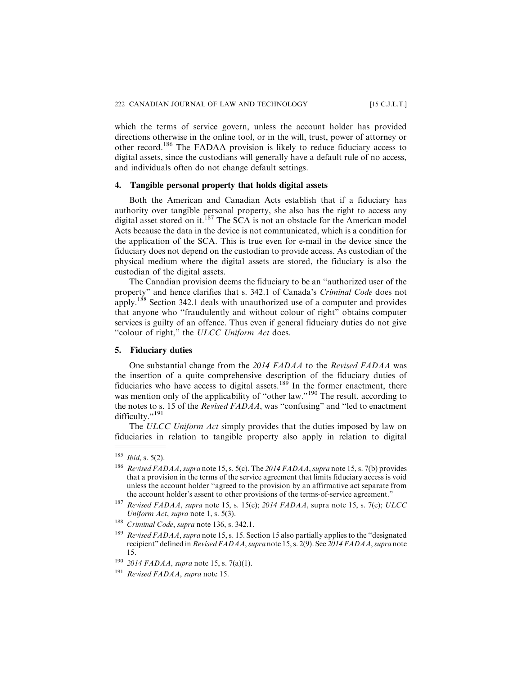which the terms of service govern, unless the account holder has provided directions otherwise in the online tool, or in the will, trust, power of attorney or other record.<sup>186</sup> The FADAA provision is likely to reduce fiduciary access to digital assets, since the custodians will generally have a default rule of no access, and individuals often do not change default settings.

#### **4. Tangible personal property that holds digital assets**

Both the American and Canadian Acts establish that if a fiduciary has authority over tangible personal property, she also has the right to access any digital asset stored on it.<sup>187</sup> The SCA is not an obstacle for the American model Acts because the data in the device is not communicated, which is a condition for the application of the SCA. This is true even for e-mail in the device since the fiduciary does not depend on the custodian to provide access. As custodian of the physical medium where the digital assets are stored, the fiduciary is also the custodian of the digital assets.

The Canadian provision deems the fiduciary to be an ''authorized user of the property" and hence clarifies that s. 342.1 of Canada's Criminal Code does not apply.<sup>188</sup> Section 342.1 deals with unauthorized use of a computer and provides that anyone who ''fraudulently and without colour of right" obtains computer services is guilty of an offence. Thus even if general fiduciary duties do not give "colour of right," the ULCC Uniform Act does.

#### **5. Fiduciary duties**

One substantial change from the 2014 FADAA to the Revised FADAA was the insertion of a quite comprehensive description of the fiduciary duties of fiduciaries who have access to digital assets.<sup>189</sup> In the former enactment, there was mention only of the applicability of "other law."<sup>190</sup> The result, according to the notes to s. 15 of the Revised FADAA, was ''confusing" and ''led to enactment difficulty."<sup>191</sup>

The ULCC Uniform Act simply provides that the duties imposed by law on fiduciaries in relation to tangible property also apply in relation to digital

 $185$  *Ibid*, s. 5(2).

<sup>&</sup>lt;sup>186</sup> Revised FADAA, supra note 15, s. 5(c). The 2014 FADAA, supra note 15, s. 7(b) provides that a provision in the terms of the service agreement that limits fiduciary access is void unless the account holder ''agreed to the provision by an affirmative act separate from the account holder's assent to other provisions of the terms-of-service agreement."

<sup>&</sup>lt;sup>187</sup> Revised FADAA, supra note 15, s. 15(e); 2014 FADAA, supra note 15, s. 7(e); ULCC Uniform Act, supra note 1, s. 5(3).

<sup>&</sup>lt;sup>188</sup> Criminal Code, supra note 136, s. 342.1.

<sup>&</sup>lt;sup>189</sup> Revised FADAA, supra note 15, s. 15. Section 15 also partially applies to the "designated recipient" defined in Revised FADAA, supra note 15, s. 2(9). See 2014 FADAA, supra note 15.

 $190$  2014 FADAA, supra note 15, s. 7(a)(1).

<sup>&</sup>lt;sup>191</sup> Revised FADAA, supra note 15.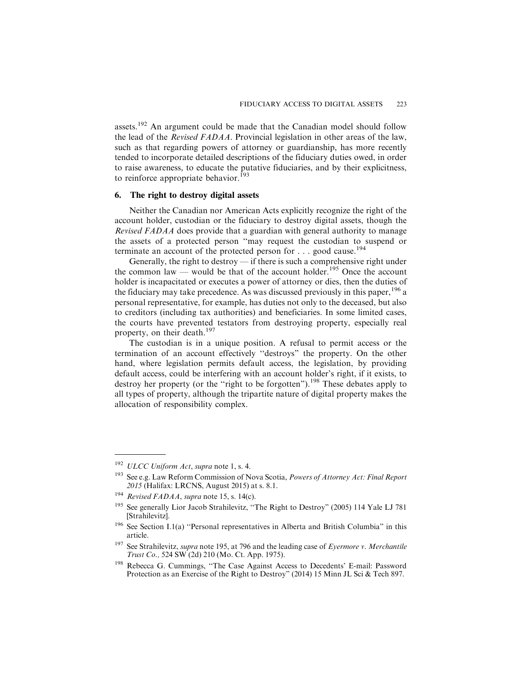assets.<sup>192</sup> An argument could be made that the Canadian model should follow the lead of the Revised FADAA. Provincial legislation in other areas of the law, such as that regarding powers of attorney or guardianship, has more recently tended to incorporate detailed descriptions of the fiduciary duties owed, in order to raise awareness, to educate the putative fiduciaries, and by their explicitness, to reinforce appropriate behavior.<sup>193</sup>

# **6. The right to destroy digital assets**

Neither the Canadian nor American Acts explicitly recognize the right of the account holder, custodian or the fiduciary to destroy digital assets, though the Revised FADAA does provide that a guardian with general authority to manage the assets of a protected person ''may request the custodian to suspend or terminate an account of the protected person for  $\dots$  good cause.<sup>194</sup>

Generally, the right to destroy — if there is such a comprehensive right under the common law — would be that of the account holder.<sup>195</sup> Once the account holder is incapacitated or executes a power of attorney or dies, then the duties of the fiduciary may take precedence. As was discussed previously in this paper,  $196$  a personal representative, for example, has duties not only to the deceased, but also to creditors (including tax authorities) and beneficiaries. In some limited cases, the courts have prevented testators from destroying property, especially real property, on their death.<sup>197</sup>

The custodian is in a unique position. A refusal to permit access or the termination of an account effectively ''destroys" the property. On the other hand, where legislation permits default access, the legislation, by providing default access, could be interfering with an account holder's right, if it exists, to destroy her property (or the "right to be forgotten").<sup>198</sup> These debates apply to all types of property, although the tripartite nature of digital property makes the allocation of responsibility complex.

 $192 \text{ ULCC Uniform}$  Act, supra note 1, s. 4.

<sup>&</sup>lt;sup>193</sup> See e.g. Law Reform Commission of Nova Scotia, *Powers of Attorney Act: Final Report* 2015 (Halifax: LRCNS, August 2015) at s. 8.1.

Revised FADAA, supra note 15, s. 14(c).

<sup>&</sup>lt;sup>195</sup> See generally Lior Jacob Strahilevitz, "The Right to Destroy" (2005) 114 Yale LJ 781 [Strahilevitz].

<sup>&</sup>lt;sup>196</sup> See Section I.1(a) "Personal representatives in Alberta and British Columbia" in this article.

<sup>&</sup>lt;sup>197</sup> See Strahilevitz, supra note 195, at 796 and the leading case of Eyermore v. Merchantile Trust Co., 524 SW (2d) 210 (Mo. Ct. App. 1975).

<sup>&</sup>lt;sup>198</sup> Rebecca G. Cummings, "The Case Against Access to Decedents' E-mail: Password Protection as an Exercise of the Right to Destroy" (2014) 15 Minn JL Sci & Tech 897.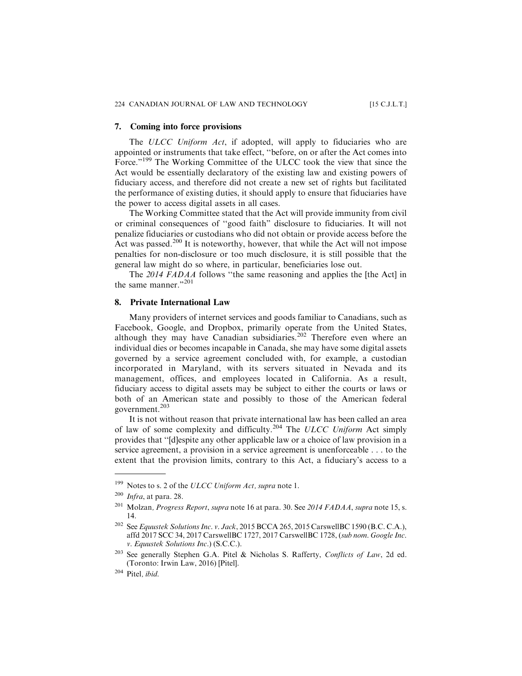# **7. Coming into force provisions**

The ULCC Uniform Act, if adopted, will apply to fiduciaries who are appointed or instruments that take effect, ''before, on or after the Act comes into Force."<sup>199</sup> The Working Committee of the ULCC took the view that since the Act would be essentially declaratory of the existing law and existing powers of fiduciary access, and therefore did not create a new set of rights but facilitated the performance of existing duties, it should apply to ensure that fiduciaries have the power to access digital assets in all cases.

The Working Committee stated that the Act will provide immunity from civil or criminal consequences of ''good faith" disclosure to fiduciaries. It will not penalize fiduciaries or custodians who did not obtain or provide access before the Act was passed.<sup>200</sup> It is noteworthy, however, that while the Act will not impose penalties for non-disclosure or too much disclosure, it is still possible that the general law might do so where, in particular, beneficiaries lose out.

The 2014 FADAA follows "the same reasoning and applies the [the Act] in the same manner."<sup>201</sup>

# **8. Private International Law**

Many providers of internet services and goods familiar to Canadians, such as Facebook, Google, and Dropbox, primarily operate from the United States, although they may have Canadian subsidiaries.<sup>202</sup> Therefore even where an individual dies or becomes incapable in Canada, she may have some digital assets governed by a service agreement concluded with, for example, a custodian incorporated in Maryland, with its servers situated in Nevada and its management, offices, and employees located in California. As a result, fiduciary access to digital assets may be subject to either the courts or laws or both of an American state and possibly to those of the American federal government.<sup>203</sup>

It is not without reason that private international law has been called an area of law of some complexity and difficulty.<sup>204</sup> The ULCC Uniform Act simply provides that ''[d]espite any other applicable law or a choice of law provision in a service agreement, a provision in a service agreement is unenforceable . . . to the extent that the provision limits, contrary to this Act, a fiduciary's access to a

<sup>&</sup>lt;sup>199</sup> Notes to s. 2 of the ULCC Uniform Act, supra note 1.

 $200$  Infra, at para. 28.

 $^{201}$  Molzan, *Progress Report, supra* note 16 at para. 30. See 2014 FADAA, supra note 15, s. 14.

<sup>&</sup>lt;sup>202</sup> See Equustek Solutions Inc. v. Jack, 2015 BCCA 265, 2015 CarswellBC 1590 (B.C. C.A.), affd 2017 SCC 34, 2017 CarswellBC 1727, 2017 CarswellBC 1728, (sub nom. Google Inc. v. Equustek Solutions Inc.) (S.C.C.).

 $203$  See generally Stephen G.A. Pitel & Nicholas S. Rafferty, Conflicts of Law, 2d ed. (Toronto: Irwin Law, 2016) [Pitel].

<sup>204</sup> Pitel, ibid.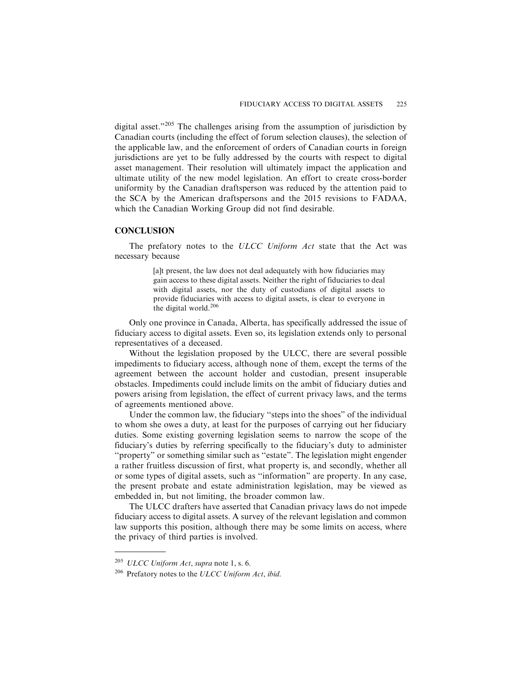digital asset."<sup>205</sup> The challenges arising from the assumption of jurisdiction by Canadian courts (including the effect of forum selection clauses), the selection of the applicable law, and the enforcement of orders of Canadian courts in foreign jurisdictions are yet to be fully addressed by the courts with respect to digital asset management. Their resolution will ultimately impact the application and ultimate utility of the new model legislation. An effort to create cross-border uniformity by the Canadian draftsperson was reduced by the attention paid to the SCA by the American draftspersons and the 2015 revisions to FADAA, which the Canadian Working Group did not find desirable.

# **CONCLUSION**

The prefatory notes to the ULCC Uniform Act state that the Act was necessary because

> [a]t present, the law does not deal adequately with how fiduciaries may gain access to these digital assets. Neither the right of fiduciaries to deal with digital assets, nor the duty of custodians of digital assets to provide fiduciaries with access to digital assets, is clear to everyone in the digital world.<sup>206</sup>

Only one province in Canada, Alberta, has specifically addressed the issue of fiduciary access to digital assets. Even so, its legislation extends only to personal representatives of a deceased.

Without the legislation proposed by the ULCC, there are several possible impediments to fiduciary access, although none of them, except the terms of the agreement between the account holder and custodian, present insuperable obstacles. Impediments could include limits on the ambit of fiduciary duties and powers arising from legislation, the effect of current privacy laws, and the terms of agreements mentioned above.

Under the common law, the fiduciary ''steps into the shoes" of the individual to whom she owes a duty, at least for the purposes of carrying out her fiduciary duties. Some existing governing legislation seems to narrow the scope of the fiduciary's duties by referring specifically to the fiduciary's duty to administer ''property" or something similar such as ''estate". The legislation might engender a rather fruitless discussion of first, what property is, and secondly, whether all or some types of digital assets, such as ''information" are property. In any case, the present probate and estate administration legislation, may be viewed as embedded in, but not limiting, the broader common law.

The ULCC drafters have asserted that Canadian privacy laws do not impede fiduciary access to digital assets. A survey of the relevant legislation and common law supports this position, although there may be some limits on access, where the privacy of third parties is involved.

 $^{205}$  ULCC Uniform Act, supra note 1, s. 6.

<sup>&</sup>lt;sup>206</sup> Prefatory notes to the ULCC Uniform Act, ibid.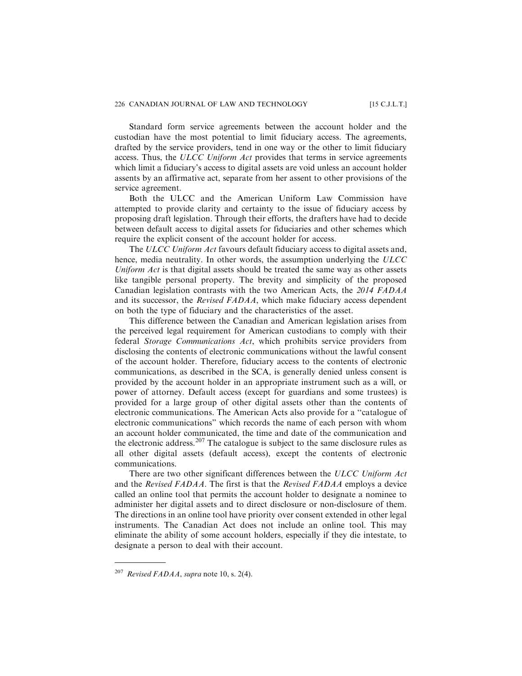Standard form service agreements between the account holder and the custodian have the most potential to limit fiduciary access. The agreements, drafted by the service providers, tend in one way or the other to limit fiduciary access. Thus, the ULCC Uniform Act provides that terms in service agreements which limit a fiduciary's access to digital assets are void unless an account holder assents by an affirmative act, separate from her assent to other provisions of the service agreement.

Both the ULCC and the American Uniform Law Commission have attempted to provide clarity and certainty to the issue of fiduciary access by proposing draft legislation. Through their efforts, the drafters have had to decide between default access to digital assets for fiduciaries and other schemes which require the explicit consent of the account holder for access.

The ULCC Uniform Act favours default fiduciary access to digital assets and, hence, media neutrality. In other words, the assumption underlying the ULCC Uniform Act is that digital assets should be treated the same way as other assets like tangible personal property. The brevity and simplicity of the proposed Canadian legislation contrasts with the two American Acts, the 2014 FADAA and its successor, the Revised FADAA, which make fiduciary access dependent on both the type of fiduciary and the characteristics of the asset.

This difference between the Canadian and American legislation arises from the perceived legal requirement for American custodians to comply with their federal Storage Communications Act, which prohibits service providers from disclosing the contents of electronic communications without the lawful consent of the account holder. Therefore, fiduciary access to the contents of electronic communications, as described in the SCA, is generally denied unless consent is provided by the account holder in an appropriate instrument such as a will, or power of attorney. Default access (except for guardians and some trustees) is provided for a large group of other digital assets other than the contents of electronic communications. The American Acts also provide for a ''catalogue of electronic communications" which records the name of each person with whom an account holder communicated, the time and date of the communication and the electronic address.<sup>207</sup> The catalogue is subject to the same disclosure rules as all other digital assets (default access), except the contents of electronic communications.

There are two other significant differences between the ULCC Uniform Act and the Revised FADAA. The first is that the Revised FADAA employs a device called an online tool that permits the account holder to designate a nominee to administer her digital assets and to direct disclosure or non-disclosure of them. The directions in an online tool have priority over consent extended in other legal instruments. The Canadian Act does not include an online tool. This may eliminate the ability of some account holders, especially if they die intestate, to designate a person to deal with their account.

<sup>&</sup>lt;sup>207</sup> Revised FADAA, supra note 10, s. 2(4).